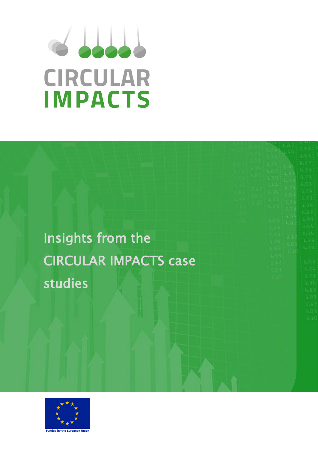

Insights from the CIRCULAR IMPACTS case studies

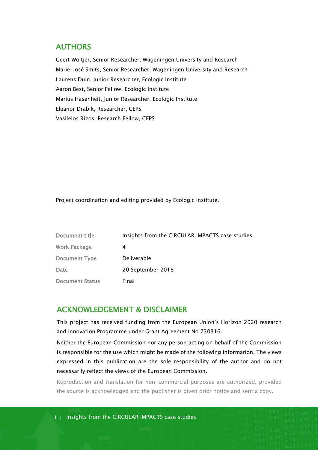#### AUTHORS

 Geert Woltjer, Senior Researcher, Wageningen University and Research Marie-José Smits, Senior Researcher, Wageningen University and Research Laurens Duin, Junior Researcher, Ecologic Institute Aaron Best, Senior Fellow, Ecologic Institute Marius Hasenheit, Junior Researcher, Ecologic Institute Eleanor Drabik, Researcher, CEPS Vasileios Rizos, Research Fellow, CEPS

Project coordination and editing provided by Ecologic Institute.

| Document title         | Insights from the CIRCULAR IMPACTS case studies |  |  |
|------------------------|-------------------------------------------------|--|--|
| <b>Work Package</b>    | 4                                               |  |  |
| <b>Document Type</b>   | <b>Deliverable</b>                              |  |  |
| Date                   | 20 September 2018                               |  |  |
| <b>Document Status</b> | Final                                           |  |  |

#### ACKNOWLEDGEMENT & DISCLAIMER

This project has received funding from the European Union's Horizon 2020 research and innovation Programme under Grant Agreement No 730316.

Neither the European Commission nor any person acting on behalf of the Commission is responsible for the use which might be made of the following information. The views expressed in this publication are the sole responsibility of the author and do not necessarily reflect the views of the European Commission.

Reproduction and translation for non-commercial purposes are authorized, provided the source is acknowledged and the publisher is given prior notice and sent a copy.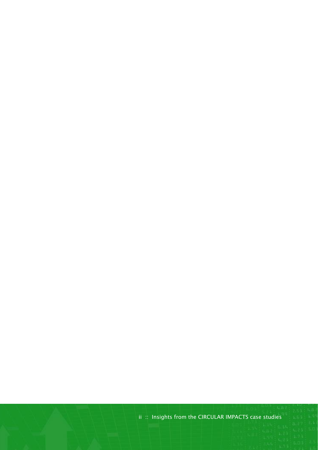ii :: Insights from the CIRCULAR IMPACTS case studies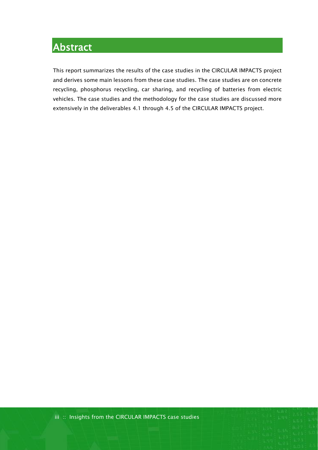## <span id="page-4-0"></span>Abstract

This report summarizes the results of the case studies in the CIRCULAR IMPACTS project and derives some main lessons from these case studies. The case studies are on concrete recycling, phosphorus recycling, car sharing, and recycling of batteries from electric vehicles. The case studies and the methodology for the case studies are discussed more extensively in the deliverables 4.1 through 4.5 of the CIRCULAR IMPACTS project.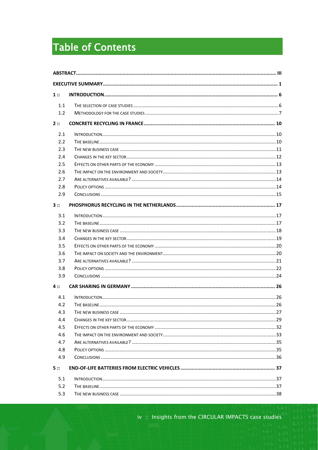# Table of Contents

| 1:: |  |  |  |
|-----|--|--|--|
| 1.1 |  |  |  |
| 1.2 |  |  |  |
| 2:: |  |  |  |
| 2.1 |  |  |  |
| 2.2 |  |  |  |
| 2.3 |  |  |  |
| 2.4 |  |  |  |
| 2.5 |  |  |  |
| 2.6 |  |  |  |
| 2.7 |  |  |  |
| 2.8 |  |  |  |
| 2.9 |  |  |  |
| 3:: |  |  |  |
| 3.1 |  |  |  |
| 3.2 |  |  |  |
| 3.3 |  |  |  |
| 3.4 |  |  |  |
| 3.5 |  |  |  |
| 3.6 |  |  |  |
| 3.7 |  |  |  |
| 3.8 |  |  |  |
| 3.9 |  |  |  |
| 4:: |  |  |  |
| 4.1 |  |  |  |
| 4.2 |  |  |  |
| 4.3 |  |  |  |
| 4.4 |  |  |  |
| 4.5 |  |  |  |
| 4.6 |  |  |  |
| 4.7 |  |  |  |
| 4.8 |  |  |  |
| 4.9 |  |  |  |
| 5:: |  |  |  |
| 5.1 |  |  |  |
| 5.2 |  |  |  |
| 5.3 |  |  |  |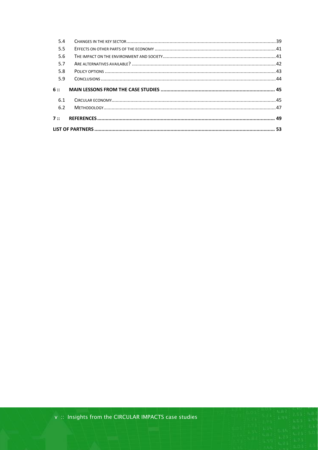| 5.4        |  |
|------------|--|
| 5.5        |  |
| 5.6        |  |
| 5.7        |  |
| 5.8        |  |
| 5.9        |  |
|            |  |
|            |  |
| 6.1        |  |
| 6::<br>6.2 |  |
|            |  |
| 7::        |  |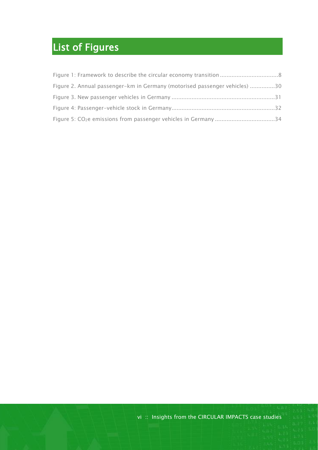# List of Figures

| Figure 2. Annual passenger-km in Germany (motorised passenger vehicles) 30 |  |
|----------------------------------------------------------------------------|--|
|                                                                            |  |
|                                                                            |  |
|                                                                            |  |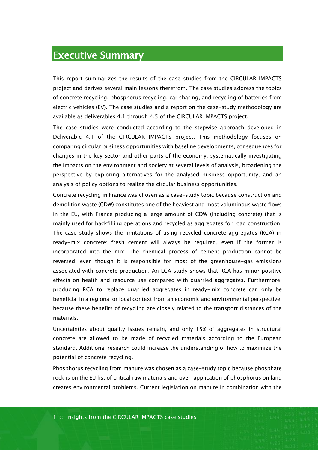## <span id="page-8-0"></span>Executive Summary

This report summarizes the results of the case studies from the CIRCULAR IMPACTS project and derives several main lessons therefrom. The case studies address the topics of concrete recycling, phosphorus recycling, car sharing, and recycling of batteries from electric vehicles (EV). The case studies and a report on the case-study methodology are available as deliverables 4.1 through 4.5 of the CIRCULAR IMPACTS project.

The case studies were conducted according to the stepwise approach developed in Deliverable 4.1 of the CIRCULAR IMPACTS project. This methodology focuses on comparing circular business opportunities with baseline developments, consequences for changes in the key sector and other parts of the economy, systematically investigating the impacts on the environment and society at several levels of analysis, broadening the perspective by exploring alternatives for the analysed business opportunity, and an analysis of policy options to realize the circular business opportunities.

Concrete recycling in France was chosen as a case-study topic because construction and demolition waste (CDW) constitutes one of the heaviest and most voluminous waste flows in the EU, with France producing a large amount of CDW (including concrete) that is mainly used for backfilling operations and recycled as aggregates for road construction. The case study shows the limitations of using recycled concrete aggregates (RCA) in ready-mix concrete: fresh cement will always be required, even if the former is incorporated into the mix. The chemical process of cement production cannot be reversed, even though it is responsible for most of the greenhouse-gas emissions associated with concrete production. An LCA study shows that RCA has minor positive effects on health and resource use compared with quarried aggregates. Furthermore, producing RCA to replace quarried aggregates in ready-mix concrete can only be beneficial in a regional or local context from an economic and environmental perspective, because these benefits of recycling are closely related to the transport distances of the materials.

Uncertainties about quality issues remain, and only 15% of aggregates in structural concrete are allowed to be made of recycled materials according to the European standard. Additional research could increase the understanding of how to maximize the potential of concrete recycling.

Phosphorus recycling from manure was chosen as a case-study topic because phosphate rock is on the EU list of critical raw materials and over-application of phosphorus on land creates environmental problems. Current legislation on manure in combination with the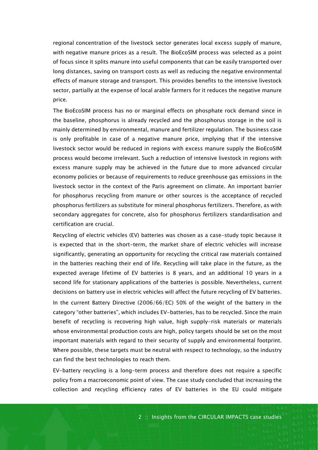regional concentration of the livestock sector generates local excess supply of manure, with negative manure prices as a result. The BioEcoSIM process was selected as a point of focus since it splits manure into useful components that can be easily transported over long distances, saving on transport costs as well as reducing the negative environmental effects of manure storage and transport. This provides benefits to the intensive livestock sector, partially at the expense of local arable farmers for it reduces the negative manure price.

The BioEcoSIM process has no or marginal effects on phosphate rock demand since in the baseline, phosphorus is already recycled and the phosphorus storage in the soil is mainly determined by environmental, manure and fertilizer regulation. The business case is only profitable in case of a negative manure price, implying that if the intensive livestock sector would be reduced in regions with excess manure supply the BioEcoSIM process would become irrelevant. Such a reduction of intensive livestock in regions with excess manure supply may be achieved in the future due to more advanced circular economy policies or because of requirements to reduce greenhouse gas emissions in the livestock sector in the context of the Paris agreement on climate. An important barrier for phosphorus recycling from manure or other sources is the acceptance of recycled phosphorus fertilizers as substitute for mineral phosphorus fertilizers. Therefore, as with secondary aggregates for concrete, also for phosphorus fertilizers standardisation and certification are crucial.

Recycling of electric vehicles (EV) batteries was chosen as a case-study topic because it is expected that in the short-term, the market share of electric vehicles will increase significantly, generating an opportunity for recycling the critical raw materials contained in the batteries reaching their end of life. Recycling will take place in the future, as the expected average lifetime of EV batteries is 8 years, and an additional 10 years in a second life for stationary applications of the batteries is possible. Nevertheless, current decisions on battery use in electric vehicles will affect the future recycling of EV batteries. In the current Battery Directive (2006/66/EC) 50% of the weight of the battery in the category "other batteries", which includes EV-batteries, has to be recycled. Since the main benefit of recycling is recovering high value, high supply-risk materials or materials whose environmental production costs are high, policy targets should be set on the most important materials with regard to their security of supply and environmental footprint. Where possible, these targets must be neutral with respect to technology, so the industry can find the best technologies to reach them.

EV-battery recycling is a long-term process and therefore does not require a specific policy from a macroeconomic point of view. The case study concluded that increasing the collection and recycling efficiency rates of EV batteries in the EU could mitigate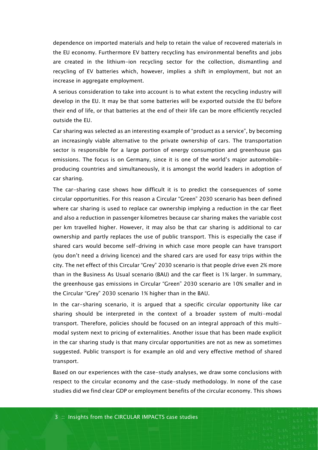dependence on imported materials and help to retain the value of recovered materials in the EU economy. Furthermore EV battery recycling has environmental benefits and jobs are created in the lithium-ion recycling sector for the collection, dismantling and recycling of EV batteries which, however, implies a shift in employment, but not an increase in aggregate employment.

A serious consideration to take into account is to what extent the recycling industry will develop in the EU. It may be that some batteries will be exported outside the EU before their end of life, or that batteries at the end of their life can be more efficiently recycled outside the EU.

Car sharing was selected as an interesting example of "product as a service", by becoming an increasingly viable alternative to the private ownership of cars. The transportation sector is responsible for a large portion of energy consumption and greenhouse gas emissions. The focus is on Germany, since it is one of the world's major automobileproducing countries and simultaneously, it is amongst the world leaders in adoption of car sharing.

The car-sharing case shows how difficult it is to predict the consequences of some circular opportunities. For this reason a Circular "Green" 2030 scenario has been defined where car sharing is used to replace car ownership implying a reduction in the car fleet and also a reduction in passenger kilometres because car sharing makes the variable cost per km travelled higher. However, it may also be that car sharing is additional to car ownership and partly replaces the use of public transport. This is especially the case if shared cars would become self-driving in which case more people can have transport (you don't need a driving licence) and the shared cars are used for easy trips within the city. The net effect of this Circular "Grey" 2030 scenario is that people drive even 2% more than in the Business As Usual scenario (BAU) and the car fleet is 1% larger. In summary, the greenhouse gas emissions in Circular "Green" 2030 scenario are 10% smaller and in the Circular "Grey" 2030 scenario 1% higher than in the BAU.

In the car-sharing scenario, it is argued that a specific circular opportunity like car sharing should be interpreted in the context of a broader system of multi-modal transport. Therefore, policies should be focused on an integral approach of this multimodal system next to pricing of externalities. Another issue that has been made explicit in the car sharing study is that many circular opportunities are not as new as sometimes suggested. Public transport is for example an old and very effective method of shared transport.

Based on our experiences with the case-study analyses, we draw some conclusions with respect to the circular economy and the case-study methodology. In none of the case studies did we find clear GDP or employment benefits of the circular economy. This shows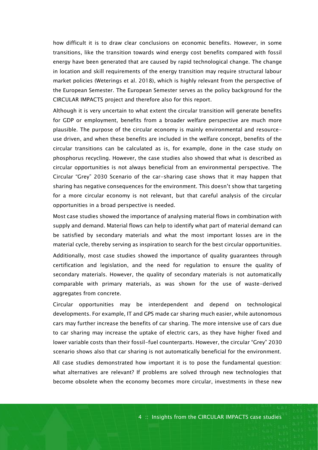how difficult it is to draw clear conclusions on economic benefits. However, in some transitions, like the transition towards wind energy cost benefits compared with fossil energy have been generated that are caused by rapid technological change. The change in location and skill requirements of the energy transition may require structural labour market policies (Weterings et al. 2018), which is highly relevant from the perspective of the European Semester. The European Semester serves as the policy background for the CIRCULAR IMPACTS project and therefore also for this report.

Although it is very uncertain to what extent the circular transition will generate benefits for GDP or employment, benefits from a broader welfare perspective are much more plausible. The purpose of the circular economy is mainly environmental and resourceuse driven, and when these benefits are included in the welfare concept, benefits of the circular transitions can be calculated as is, for example, done in the case study on phosphorus recycling. However, the case studies also showed that what is described as circular opportunities is not always beneficial from an environmental perspective. The Circular "Grey" 2030 Scenario of the car-sharing case shows that it may happen that sharing has negative consequences for the environment. This doesn't show that targeting for a more circular economy is not relevant, but that careful analysis of the circular opportunities in a broad perspective is needed.

Most case studies showed the importance of analysing material flows in combination with supply and demand. Material flows can help to identify what part of material demand can be satisfied by secondary materials and what the most important losses are in the material cycle, thereby serving as inspiration to search for the best circular opportunities.

Additionally, most case studies showed the importance of quality guarantees through certification and legislation, and the need for regulation to ensure the quality of secondary materials. However, the quality of secondary materials is not automatically comparable with primary materials, as was shown for the use of waste-derived aggregates from concrete.

Circular opportunities may be interdependent and depend on technological developments. For example, IT and GPS made car sharing much easier, while autonomous cars may further increase the benefits of car sharing. The more intensive use of cars due to car sharing may increase the uptake of electric cars, as they have higher fixed and lower variable costs than their fossil-fuel counterparts. However, the circular "Grey" 2030 scenario shows also that car sharing is not automatically beneficial for the environment.

All case studies demonstrated how important it is to pose the fundamental question: what alternatives are relevant? If problems are solved through new technologies that become obsolete when the economy becomes more circular, investments in these new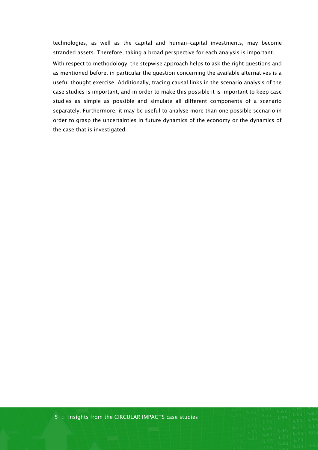technologies, as well as the capital and human-capital investments, may become stranded assets. Therefore, taking a broad perspective for each analysis is important.

With respect to methodology, the stepwise approach helps to ask the right questions and as mentioned before, in particular the question concerning the available alternatives is a useful thought exercise. Additionally, tracing causal links in the scenario analysis of the case studies is important, and in order to make this possible it is important to keep case studies as simple as possible and simulate all different components of a scenario separately. Furthermore, it may be useful to analyse more than one possible scenario in order to grasp the uncertainties in future dynamics of the economy or the dynamics of the case that is investigated.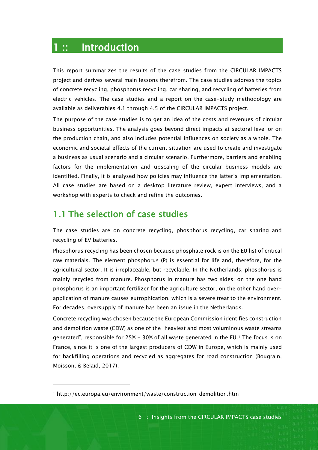## <span id="page-13-0"></span>1 :: Introduction

This report summarizes the results of the case studies from the CIRCULAR IMPACTS project and derives several main lessons therefrom. The case studies address the topics of concrete recycling, phosphorus recycling, car sharing, and recycling of batteries from electric vehicles. The case studies and a report on the case-study methodology are available as deliverables 4.1 through 4.5 of the CIRCULAR IMPACTS project.

The purpose of the case studies is to get an idea of the costs and revenues of circular business opportunities. The analysis goes beyond direct impacts at sectoral level or on the production chain, and also includes potential influences on society as a whole. The economic and societal effects of the current situation are used to create and investigate a business as usual scenario and a circular scenario. Furthermore, barriers and enabling factors for the implementation and upscaling of the circular business models are identified. Finally, it is analysed how policies may influence the latter's implementation. All case studies are based on a desktop literature review, expert interviews, and a workshop with experts to check and refine the outcomes.

#### <span id="page-13-1"></span>1.1 The selection of case studies

The case studies are on concrete recycling, phosphorus recycling, car sharing and recycling of EV batteries.

Phosphorus recycling has been chosen because phosphate rock is on the EU list of critical raw materials. The element phosphorus (P) is essential for life and, therefore, for the agricultural sector. It is irreplaceable, but recyclable. In the Netherlands, phosphorus is mainly recycled from manure. Phosphorus in manure has two sides: on the one hand phosphorus is an important fertilizer for the agriculture sector, on the other hand overapplication of manure causes eutrophication, which is a severe treat to the environment. For decades, oversupply of manure has been an issue in the Netherlands.

Concrete recycling was chosen because the European Commission identifies construction and demolition waste (CDW) as one of the "heaviest and most voluminous waste streams generated", responsible for 25% - 30% of all waste generated in the EU.<sup>1</sup> The focus is on France, since it is one of the largest producers of CDW in Europe, which is mainly used for backfilling operations and recycled as aggregates for road construction (Bougrain, Moisson, & Belaïd, 2017).

<sup>1</sup> http://ec.europa.eu/environment/waste/construction\_demolition.htm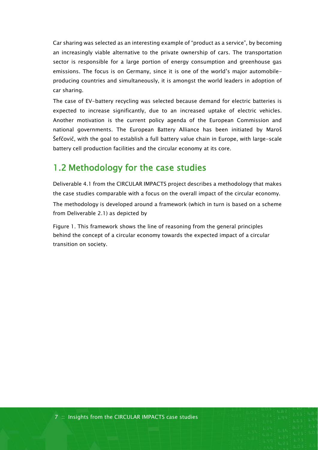Car sharing was selected as an interesting example of "product as a service", by becoming an increasingly viable alternative to the private ownership of cars. The transportation sector is responsible for a large portion of energy consumption and greenhouse gas emissions. The focus is on Germany, since it is one of the world's major automobileproducing countries and simultaneously, it is amongst the world leaders in adoption of car sharing.

The case of EV-battery recycling was selected because demand for electric batteries is expected to increase significantly, due to an increased uptake of electric vehicles. Another motivation is the current policy agenda of the European Commission and national governments. The European Battery Alliance has been initiated by Maroš Šefčovič, with the goal to establish a full battery value chain in Europe, with large-scale battery cell production facilities and the circular economy at its core.

### <span id="page-14-0"></span>1.2 Methodology for the case studies

Deliverable 4.1 from the CIRCULAR IMPACTS project describes a methodology that makes the case studies comparable with a focus on the overall impact of the circular economy.

The methodology is developed around a framework (which in turn is based on a scheme from Deliverable 2.1) as depicted by

<span id="page-14-1"></span>[Figure 1.](#page-14-1) This framework shows the line of reasoning from the general principles behind the concept of a circular economy towards the expected impact of a circular transition on society.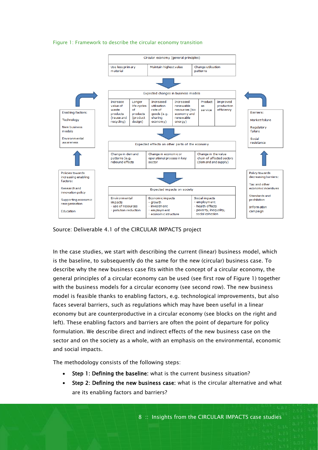<span id="page-15-0"></span>



Source: Deliverable 4.1 of the CIRCULAR IMPACTS project

In the case studies, we start with describing the current (linear) business model, which is the baseline, to subsequently do the same for the new (circular) business case. To describe why the new business case fits within the concept of a circular economy, the general principles of a circular economy can be used (see first row of Figure 1) together with the business models for a circular economy (see second row). The new business model is feasible thanks to enabling factors, e.g. technological improvements, but also faces several barriers, such as regulations which may have been useful in a linear economy but are counterproductive in a circular economy (see blocks on the right and left). These enabling factors and barriers are often the point of departure for policy formulation. We describe direct and indirect effects of the new business case on the sector and on the society as a whole, with an emphasis on the environmental, economic and social impacts.

The methodology consists of the following steps:

- Step 1: Defining the baseline: what is the current business situation?
- Step 2: Defining the new business case: what is the circular alternative and what are its enabling factors and barriers?

8 :: Insights from the CIRCULAR IMPACTS case studies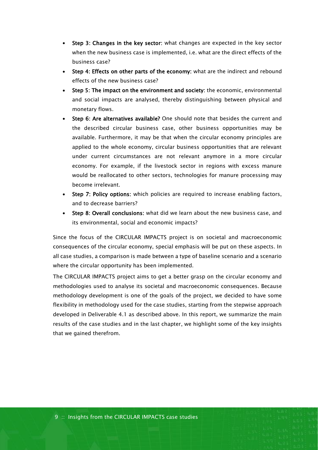- Step 3: Changes in the key sector: what changes are expected in the key sector when the new business case is implemented, i.e. what are the direct effects of the business case?
- Step 4: Effects on other parts of the economy: what are the indirect and rebound effects of the new business case?
- Step 5: The impact on the environment and society: the economic, environmental and social impacts are analysed, thereby distinguishing between physical and monetary flows.
- Step 6: Are alternatives available? One should note that besides the current and the described circular business case, other business opportunities may be available. Furthermore, it may be that when the circular economy principles are applied to the whole economy, circular business opportunities that are relevant under current circumstances are not relevant anymore in a more circular economy. For example, if the livestock sector in regions with excess manure would be reallocated to other sectors, technologies for manure processing may become irrelevant.
- Step 7: Policy options: which policies are required to increase enabling factors, and to decrease barriers?
- Step 8: Overall conclusions: what did we learn about the new business case, and its environmental, social and economic impacts?

Since the focus of the CIRCULAR IMPACTS project is on societal and macroeconomic consequences of the circular economy, special emphasis will be put on these aspects. In all case studies, a comparison is made between a type of baseline scenario and a scenario where the circular opportunity has been implemented.

The CIRCULAR IMPACTS project aims to get a better grasp on the circular economy and methodologies used to analyse its societal and macroeconomic consequences. Because methodology development is one of the goals of the project, we decided to have some flexibility in methodology used for the case studies, starting from the stepwise approach developed in Deliverable 4.1 as described above. In this report, we summarize the main results of the case studies and in the last chapter, we highlight some of the key insights that we gained therefrom.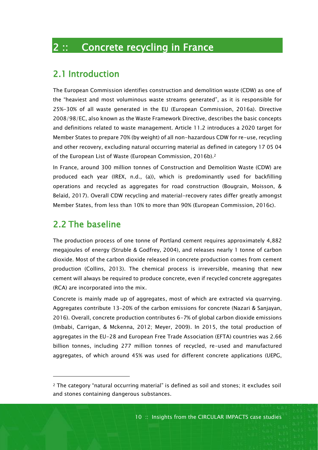## <span id="page-17-0"></span>2 :: Concrete recycling in France

#### <span id="page-17-1"></span>2.1 Introduction

The European Commission identifies construction and demolition waste (CDW) as one of the "heaviest and most voluminous waste streams generated", as it is responsible for 25%-30% of all waste generated in the EU (European Commission, 2016a). Directive 2008/98/EC, also known as the Waste Framework Directive, describes the basic concepts and definitions related to waste management. Article 11.2 introduces a 2020 target for Member States to prepare 70% (by weight) of all non-hazardous CDW for re-use, recycling and other recovery, excluding natural occurring material as defined in category 17 05 04 of the European List of Waste (European Commission, 2016b). 2

In France, around 300 million tonnes of Construction and Demolition Waste (CDW) are produced each year (IREX, n.d., (a)), which is predominantly used for backfilling operations and recycled as aggregates for road construction (Bougrain, Moisson, & Belaïd, 2017). Overall CDW recycling and material-recovery rates differ greatly amongst Member States, from less than 10% to more than 90% (European Commission, 2016c).

#### <span id="page-17-2"></span>2.2 The baseline

l

The production process of one tonne of Portland cement requires approximately 4,882 megajoules of energy (Struble & Godfrey, 2004), and releases nearly 1 tonne of carbon dioxide. Most of the carbon dioxide released in concrete production comes from cement production (Collins, 2013). The chemical process is irreversible, meaning that new cement will always be required to produce concrete, even if recycled concrete aggregates (RCA) are incorporated into the mix.

Concrete is mainly made up of aggregates, most of which are extracted via quarrying. Aggregates contribute 13–20% of the carbon emissions for concrete (Nazari & Sanjayan, 2016). Overall, concrete production contributes 6-7% of global carbon dioxide emissions (Imbabi, Carrigan, & Mckenna, 2012; Meyer, 2009). In 2015, the total production of aggregates in the EU-28 and European Free Trade Association (EFTA) countries was 2.66 billion tonnes, including 277 million tonnes of recycled, re-used and manufactured aggregates, of which around 45% was used for different concrete applications (UEPG,

<sup>2</sup> The category "natural occurring material" is defined as soil and stones; it excludes soil and stones containing dangerous substances.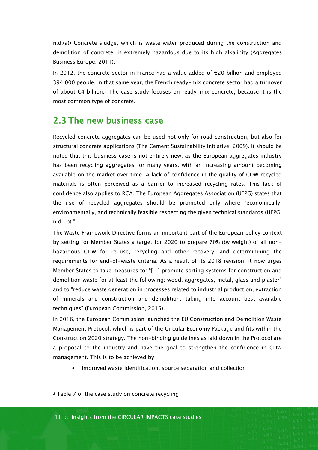n.d.(a)) Concrete sludge, which is waste water produced during the construction and demolition of concrete, is extremely hazardous due to its high alkalinity (Aggregates Business Europe, 2011).

In 2012, the concrete sector in France had a value added of €20 billion and employed 394.000 people. In that same year, the French ready-mix concrete sector had a turnover of about €4 billion. <sup>3</sup> The case study focuses on ready-mix concrete, because it is the most common type of concrete.

#### <span id="page-18-0"></span>2.3 The new business case

Recycled concrete aggregates can be used not only for road construction, but also for structural concrete applications (The Cement Sustainability Initiative, 2009). It should be noted that this business case is not entirely new, as the European aggregates industry has been recycling aggregates for many years, with an increasing amount becoming available on the market over time. A lack of confidence in the quality of CDW recycled materials is often perceived as a barrier to increased recycling rates. This lack of confidence also applies to RCA. The European Aggregates Association (UEPG) states that the use of recycled aggregates should be promoted only where "economically, environmentally, and technically feasible respecting the given technical standards (UEPG, n.d., b)."

The Waste Framework Directive forms an important part of the European policy context by setting for Member States a target for 2020 to prepare 70% (by weight) of all nonhazardous CDW for re-use, recycling and other recovery, and determinining the requirements for end-of-waste criteria. As a result of its 2018 revision, it now urges Member States to take measures to: "[…] promote sorting systems for construction and demolition waste for at least the following: wood, aggregates, metal, glass and plaster" and to "reduce waste generation in processes related to industrial production, extraction of minerals and construction and demolition, taking into account best available techniques" (European Commission, 2015).

In 2016, the European Commission launched the EU Construction and Demolition Waste Management Protocol, which is part of the Circular Economy Package and fits within the Construction 2020 strategy. The non-binding guidelines as laid down in the Protocol are a proposal to the industry and have the goal to strengthen the confidence in CDW management. This is to be achieved by:

• Improved waste identification, source separation and collection

l

11 :: Insights from the CIRCULAR IMPACTS case studies

<sup>&</sup>lt;sup>3</sup> Table 7 of the case study on concrete recycling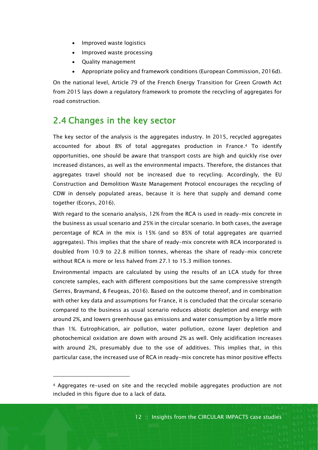- Improved waste logistics
- Improved waste processing
- Quality management
- Appropriate policy and framework conditions (European Commission, 2016d).

On the national level, Article 79 of the French Energy Transition for Green Growth Act from 2015 lays down a regulatory framework to promote the recycling of aggregates for road construction.

#### <span id="page-19-0"></span>2.4 Changes in the key sector

l

The key sector of the analysis is the aggregates industry. In 2015, recycled aggregates accounted for about 8% of total aggregates production in France. <sup>4</sup> To identify opportunities, one should be aware that transport costs are high and quickly rise over increased distances, as well as the environmental impacts. Therefore, the distances that aggregates travel should not be increased due to recycling. Accordingly, the EU Construction and Demolition Waste Management Protocol encourages the recycling of CDW in densely populated areas, because it is here that supply and demand come together (Ecorys, 2016).

With regard to the scenario analysis, 12% from the RCA is used in ready-mix concrete in the business as usual scenario and 25% in the circular scenario. In both cases, the average percentage of RCA in the mix is 15% (and so 85% of total aggregates are quarried aggregates). This implies that the share of ready-mix concrete with RCA incorporated is doubled from 10.9 to 22.8 million tonnes, whereas the share of ready-mix concrete without RCA is more or less halved from 27.1 to 15.3 million tonnes.

Environmental impacts are calculated by using the results of an LCA study for three concrete samples, each with different compositions but the same compressive strength (Serres, Braymand, & Feugeas, 2016). Based on the outcome thereof, and in combination with other key data and assumptions for France, it is concluded that the circular scenario compared to the business as usual scenario reduces abiotic depletion and energy with around 2%, and lowers greenhouse gas emissions and water consumption by a little more than 1%. Eutrophication, air pollution, water pollution, ozone layer depletion and photochemical oxidation are down with around 2% as well. Only acidification increases with around 2%, presumably due to the use of additives. This implies that, in this particular case, the increased use of RCA in ready-mix concrete has minor positive effects

<sup>4</sup> Aggregates re-used on site and the recycled mobile aggregates production are not included in this figure due to a lack of data.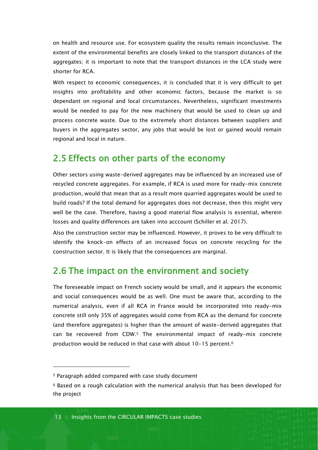on health and resource use. For ecosystem quality the results remain inconclusive. The extent of the environmental benefits are closely linked to the transport distances of the aggregates; it is important to note that the transport distances in the LCA study were shorter for RCA.

With respect to economic consequences, it is concluded that it is very difficult to get insights into profitability and other economic factors, because the market is so dependant on regional and local circumstances. Nevertheless, significant investments would be needed to pay for the new machinery that would be used to clean up and process concrete waste. Due to the extremely short distances between suppliers and buyers in the aggregates sector, any jobs that would be lost or gained would remain regional and local in nature.

#### <span id="page-20-0"></span>2.5 Effects on other parts of the economy

Other sectors using waste-derived aggregates may be influenced by an increased use of recycled concrete aggregates. For example, if RCA is used more for ready-mix concrete production, would that mean that as a result more quarried aggregates would be used to build roads? If the total demand for aggregates does not decrease, then this might very well be the case. Therefore, having a good material flow analysis is essential, wherein losses and quality differences are taken into acccount (Schiller et al. 2017).

Also the construction sector may be influenced. However, it proves to be very difficult to identify the knock-on effects of an increased focus on concrete recycling for the construction sector. It is likely that the consequences are marginal.

### <span id="page-20-1"></span>2.6 The impact on the environment and society

The foreseeable impact on French society would be small, and it appears the economic and social consequences would be as well. One must be aware that, according to the numerical analysis, even if all RCA in France would be incorporated into ready-mix concrete still only 35% of aggregates would come from RCA as the demand for concrete (and therefore aggregates) is higher than the amount of waste-derived aggregates that can be recovered from CDW. <sup>5</sup> The environmental impact of ready-mix concrete production would be reduced in that case with about 10-15 percent. 6

l

13 :: Insights from the CIRCULAR IMPACTS case studies

<sup>5</sup> Paragraph added compared with case study document

<sup>6</sup> Based on a rough calculation with the numerical analysis that has been developed for the project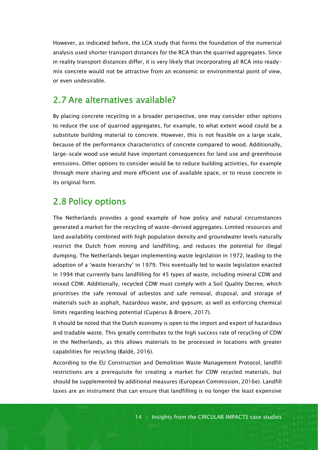However, as indicated before, the LCA study that forms the foundation of the numerical analysis used shorter transport distances for the RCA than the quarried aggregates. Since in reality transport distances differ, it is very likely that incorporating all RCA into readymix concrete would not be attractive from an economic or environmental point of view, or even undesirable.

#### <span id="page-21-0"></span>2.7 Are alternatives available?

By placing concrete recycling in a broader perspective, one may consider other options to reduce the use of quarried aggregates, for example, to what extent wood could be a substitute building material to concrete. However, this is not feasible on a large scale, because of the performance characteristics of concrete compared to wood. Additionally, large-scale wood use would have important consequences for land use and greenhouse emissions. Other options to consider would be to reduce building activities, for example through more sharing and more efficient use of available space, or to reuse concrete in its original form.

#### <span id="page-21-1"></span>2.8 Policy options

The Netherlands provides a good example of how policy and natural circumstances generated a market for the recycling of waste-derived aggregates. Limited resources and land availability combined with high population density and groundwater levels naturally restrict the Dutch from mining and landfilling, and reduces the potential for illegal dumping. The Netherlands began implementing waste legislation in 1972, leading to the adoption of a 'waste hierarchy' in 1979. This eventually led to waste legislation enacted in 1994 that currently bans landfilling for 45 types of waste, including mineral CDW and mixed CDW. Additionally, recycled CDW must comply with a Soil Quality Decree, which prioritises the safe removal of asbestos and safe removal, disposal, and storage of materials such as asphalt, hazardous waste, and gypsum, as well as enforcing chemical limits regarding leaching potential (Cuperus & Broere, 2017).

It should be noted that the Dutch economy is open to the import and export of hazardous and tradable waste. This greatly contributes to the high success rate of recycling of CDW in the Netherlands, as this allows materials to be processed in locations with greater capabilities for recycling (Baldè, 2016).

According to the EU Construction and Demolition Waste Management Protocol, landfill restrictions are a prerequisite for creating a market for CDW recycled materials, but should be supplemented by additional measures (European Commission, 2016e). Landfill taxes are an instrument that can ensure that landfilling is no longer the least expensive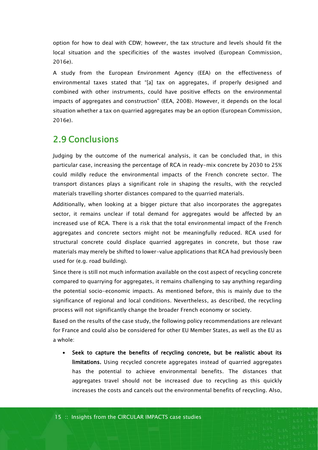option for how to deal with CDW; however, the tax structure and levels should fit the local situation and the specificities of the wastes involved (European Commission, 2016e).

A study from the European Environment Agency (EEA) on the effectiveness of environmental taxes stated that "[a] tax on aggregates, if properly designed and combined with other instruments, could have positive effects on the environmental impacts of aggregates and construction" (EEA, 2008). However, it depends on the local situation whether a tax on quarried aggregates may be an option (European Commission, 2016e).

### <span id="page-22-0"></span>2.9 Conclusions

Judging by the outcome of the numerical analysis, it can be concluded that, in this particular case, increasing the percentage of RCA in ready-mix concrete by 2030 to 25% could mildly reduce the environmental impacts of the French concrete sector. The transport distances plays a significant role in shaping the results, with the recycled materials travelling shorter distances compared to the quarried materials.

Additionally, when looking at a bigger picture that also incorporates the aggregates sector, it remains unclear if total demand for aggregates would be affected by an increased use of RCA. There is a risk that the total environmental impact of the French aggregates and concrete sectors might not be meaningfully reduced. RCA used for structural concrete could displace quarried aggregates in concrete, but those raw materials may merely be shifted to lower-value applications that RCA had previously been used for (e.g. road building).

Since there is still not much information available on the cost aspect of recycling concrete compared to quarrying for aggregates, it remains challenging to say anything regarding the potential socio-economic impacts. As mentioned before, this is mainly due to the significance of regional and local conditions. Nevertheless, as described, the recycling process will not significantly change the broader French economy or society.

Based on the results of the case study, the following policy recommendations are relevant for France and could also be considered for other EU Member States, as well as the EU as a whole:

 Seek to capture the benefits of recycling concrete, but be realistic about its limitations. Using recycled concrete aggregates instead of quarried aggregates has the potential to achieve environmental benefits. The distances that aggregates travel should not be increased due to recycling as this quickly increases the costs and cancels out the environmental benefits of recycling. Also,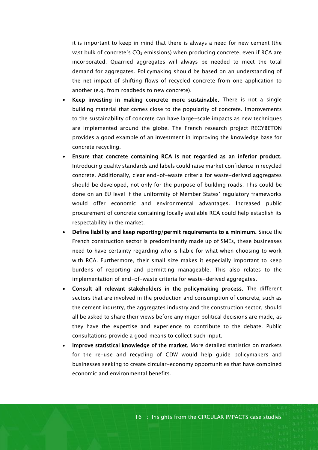it is important to keep in mind that there is always a need for new cement (the vast bulk of concrete's  $CO<sub>2</sub>$  emissions) when producing concrete, even if RCA are incorporated. Quarried aggregates will always be needed to meet the total demand for aggregates. Policymaking should be based on an understanding of the net impact of shifting flows of recycled concrete from one application to another (e.g. from roadbeds to new concrete).

- Keep investing in making concrete more sustainable. There is not a single building material that comes close to the popularity of concrete. Improvements to the sustainability of concrete can have large-scale impacts as new techniques are implemented around the globe. The French research project RECYBETON provides a good example of an investment in improving the knowledge base for concrete recycling.
- Ensure that concrete containing RCA is not regarded as an inferior product. Introducing quality standards and labels could raise market confidence in recycled concrete. Additionally, clear end-of-waste criteria for waste-derived aggregates should be developed, not only for the purpose of building roads. This could be done on an EU level if the uniformity of Member States' regulatory frameworks would offer economic and environmental advantages. Increased public procurement of concrete containing locally available RCA could help establish its respectability in the market.
- Define liability and keep reporting/permit requirements to a minimum. Since the French construction sector is predominantly made up of SMEs, these businesses need to have certainty regarding who is liable for what when choosing to work with RCA. Furthermore, their small size makes it especially important to keep burdens of reporting and permitting manageable. This also relates to the implementation of end-of-waste criteria for waste-derived aggregates.
- Consult all relevant stakeholders in the policymaking process. The different sectors that are involved in the production and consumption of concrete, such as the cement industry, the aggregates industry and the construction sector, should all be asked to share their views before any major political decisions are made, as they have the expertise and experience to contribute to the debate. Public consultations provide a good means to collect such input.
- Improve statistical knowledge of the market. More detailed statistics on markets for the re-use and recycling of CDW would help guide policymakers and businesses seeking to create circular-economy opportunities that have combined economic and environmental benefits.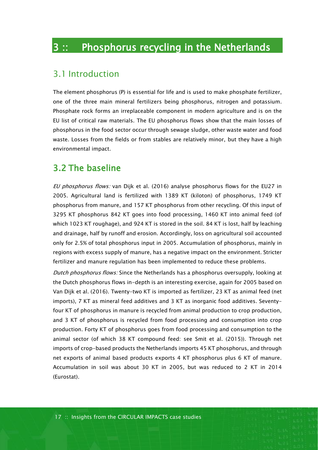## <span id="page-24-0"></span>Phosphorus recycling in the Netherlands

#### <span id="page-24-1"></span>3.1 Introduction

The element phosphorus (P) is essential for life and is used to make phosphate fertilizer, one of the three main mineral fertilizers being phosphorus, nitrogen and potassium. Phosphate rock forms an irreplaceable component in modern agriculture and is on the EU list of critical raw materials. The EU phosphorus flows show that the main losses of phosphorus in the food sector occur through sewage sludge, other waste water and food waste. Losses from the fields or from stables are relatively minor, but they have a high environmental impact.

#### <span id="page-24-2"></span>3.2 The baseline

EU phosphorus flows: van Dijk et al. (2016) analyse phosphorus flows for the EU27 in 2005. Agricultural land is fertilized with 1389 KT (kiloton) of phosphorus, 1749 KT phosphorus from manure, and 157 KT phosphorus from other recycling. Of this input of 3295 KT phosphorus 842 KT goes into food processing, 1460 KT into animal feed (of which 1023 KT roughage), and 924 KT is stored in the soil. 84 KT is lost, half by leaching and drainage, half by runoff and erosion. Accordingly, loss on agricultural soil accounted only for 2.5% of total phosphorus input in 2005. Accumulation of phosphorus, mainly in regions with excess supply of manure, has a negative impact on the environment. Stricter fertilizer and manure regulation has been implemented to reduce these problems.

Dutch phosphorus flows: Since the Netherlands has a phosphorus oversupply, looking at the Dutch phosphorus flows in-depth is an interesting exercise, again for 2005 based on Van Dijk et al. (2016). Twenty-two KT is imported as fertilizer, 23 KT as animal feed (net imports), 7 KT as mineral feed additives and 3 KT as inorganic food additives. Seventyfour KT of phosphorus in manure is recycled from animal production to crop production, and 3 KT of phosphorus is recycled from food processing and consumption into crop production. Forty KT of phosphorus goes from food processing and consumption to the animal sector (of which 38 KT compound feed: see Smit et al. (2015)). Through net imports of crop-based products the Netherlands imports 45 KT phosphorus, and through net exports of animal based products exports 4 KT phosphorus plus 6 KT of manure. Accumulation in soil was about 30 KT in 2005, but was reduced to 2 KT in 2014 (Eurostat).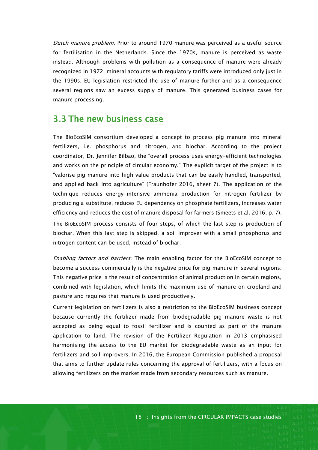Dutch manure problem: Prior to around 1970 manure was perceived as a useful source for fertilisation in the Netherlands. Since the 1970s, manure is perceived as waste instead. Although problems with pollution as a consequence of manure were already recognized in 1972, mineral accounts with regulatory tariffs were introduced only just in the 1990s. EU legislation restricted the use of manure further and as a consequence several regions saw an excess supply of manure. This generated business cases for manure processing.

#### <span id="page-25-0"></span>3.3 The new business case

nitrogen content can be used, instead of biochar.

The BioEcoSIM consortium developed a concept to process pig manure into mineral fertilizers, i.e. phosphorus and nitrogen, and biochar. According to the project coordinator, Dr. Jennifer Bilbao, the "overall process uses energy-efficient technologies and works on the principle of circular economy." The explicit target of the project is to "valorise pig manure into high value products that can be easily handled, transported, and applied back into agriculture" (Fraunhofer 2016, sheet 7). The application of the technique reduces energy-intensive ammonia production for nitrogen fertilizer by producing a substitute, reduces EU dependency on phosphate fertilizers, increases water efficiency and reduces the cost of manure disposal for farmers (Smeets et al. 2016, p. 7). The BioEcoSIM process consists of four steps, of which the last step is production of biochar. When this last step is skipped, a soil improver with a small phosphorus and

**Enabling factors and barriers:** The main enabling factor for the BioEcoSIM concept to become a success commercially is the negative price for pig manure in several regions. This negative price is the result of concentration of animal production in certain regions, combined with legislation, which limits the maximum use of manure on cropland and pasture and requires that manure is used productively.

Current legislation on fertilizers is also a restriction to the BioEcoSIM business concept because currently the fertilizer made from biodegradable pig manure waste is not accepted as being equal to fossil fertilizer and is counted as part of the manure application to land. The revision of the Fertilizer Regulation in 2013 emphasised harmonising the access to the EU market for biodegradable waste as an input for fertilizers and soil improvers. In 2016, the European Commission published a proposal that aims to further update rules concerning the approval of fertilizers, with a focus on allowing fertilizers on the market made from secondary resources such as manure.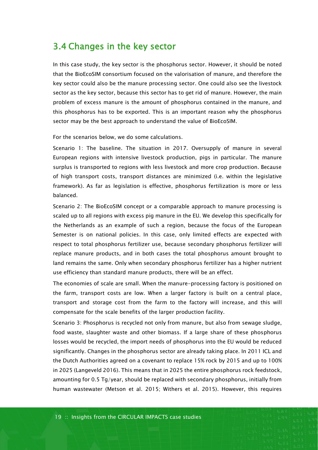#### <span id="page-26-0"></span>3.4 Changes in the key sector

In this case study, the key sector is the phosphorus sector. However, it should be noted that the BioEcoSIM consortium focused on the valorisation of manure, and therefore the key sector could also be the manure processing sector. One could also see the livestock sector as the key sector, because this sector has to get rid of manure. However, the main problem of excess manure is the amount of phosphorus contained in the manure, and this phosphorus has to be exported. This is an important reason why the phosphorus sector may be the best approach to understand the value of BioEcoSIM.

For the scenarios below, we do some calculations.

Scenario 1: The baseline. The situation in 2017. Oversupply of manure in several European regions with intensive livestock production, pigs in particular. The manure surplus is transported to regions with less livestock and more crop production. Because of high transport costs, transport distances are minimized (i.e. within the legislative framework). As far as legislation is effective, phosphorus fertilization is more or less balanced.

Scenario 2: The BioEcoSIM concept or a comparable approach to manure processing is scaled up to all regions with excess pig manure in the EU. We develop this specifically for the Netherlands as an example of such a region, because the focus of the European Semester is on national policies. In this case, only limited effects are expected with respect to total phosphorus fertilizer use, because secondary phosphorus fertilizer will replace manure products, and in both cases the total phosphorus amount brought to land remains the same. Only when secondary phosphorus fertilizer has a higher nutrient use efficiency than standard manure products, there will be an effect.

The economies of scale are small. When the manure-processing factory is positioned on the farm, transport costs are low. When a larger factory is built on a central place, transport and storage cost from the farm to the factory will increase, and this will compensate for the scale benefits of the larger production facility.

Scenario 3: Phosphorus is recycled not only from manure, but also from sewage sludge, food waste, slaughter waste and other biomass. If a large share of these phosphorus losses would be recycled, the import needs of phosphorus into the EU would be reduced significantly. Changes in the phosphorus sector are already taking place. In 2011 ICL and the Dutch Authorities agreed on a covenant to replace 15% rock by 2015 and up to 100% in 2025 (Langeveld 2016). This means that in 2025 the entire phosphorus rock feedstock, amounting for 0.5 Tg/year, should be replaced with secondary phosphorus, initially from human wastewater (Metson et al. 2015; Withers et al. 2015). However, this requires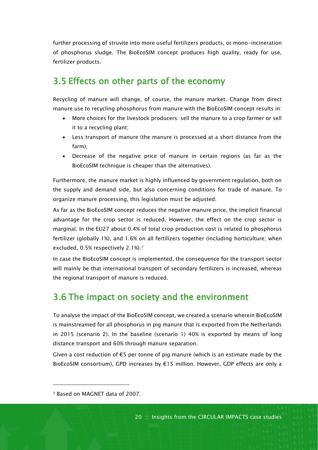further processing of struvite into more useful fertilizers products, or mono-incineration of phosphorus sludge. The BioEcoSIM concept produces high quality, ready for use, fertilizer products.

#### <span id="page-27-0"></span>3.5 Effects on other parts of the economy

Recycling of manure will change, of course, the manure market. Change from direct manure use to recycling phosphorus from manure with the BioEcoSIM concept results in:

- More choices for the livestock producers: sell the manure to a crop farmer or sell it to a recycling plant;
- Less transport of manure (the manure is processed at a short distance from the farm);
- Decrease of the negative price of manure in certain regions (as far as the BioEcoSIM technique is cheaper than the alternatives).

Furthermore, the manure market is highly influenced by government regulation, both on the supply and demand side, but also concerning conditions for trade of manure. To organize manure processing, this legislation must be adjusted.

As far as the BioEcoSIM concept reduces the negative manure price, the implicit financial advantage for the crop sector is reduced. However, the effect on the crop sector is marginal. In the EU27 about 0.4% of total crop production cost is related to phosphorus fertilizer (globally 1%), and 1.6% on all fertilizers together (including horticulture; when excluded, 0.5% respectively 2.1%). 7

In case the BioEcoSIM concept is implemented, the consequence for the transport sector will mainly be that international transport of secondary fertilizers is increased, whereas the regional transport of manure is reduced.

### <span id="page-27-1"></span>3.6 The impact on society and the environment

To analyse the impact of the BioEcoSIM concept, we created a scenario wherein BioEcoSIM is mainstreamed for all phosphorus in pig manure that is exported from the Netherlands in 2015 (scenario 2). In the baseline (scenario 1) 40% is exported by means of long distance transport and 60% through manure separation.

Given a cost reduction of  $E$ 5 per tonne of pig manure (which is an estimate made by the BioEcoSIM consortium), GPD increases by €15 million. However, GDP effects are only a

<sup>7</sup> Based on MAGNET data of 2007.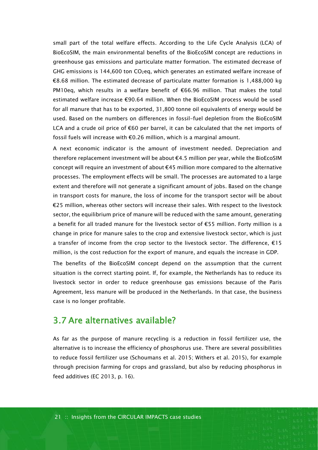small part of the total welfare effects. According to the Life Cycle Analysis (LCA) of BioEcoSIM, the main environmental benefits of the BioEcoSIM concept are reductions in greenhouse gas emissions and particulate matter formation. The estimated decrease of GHG emissions is 144,600 ton  $CO<sub>2</sub>$ eq, which generates an estimated welfare increase of €8.68 million. The estimated decrease of particulate matter formation is 1,488,000 kg PM10eq, which results in a welfare benefit of €66.96 million. That makes the total estimated welfare increase €90.64 million. When the BioEcoSIM process would be used for all manure that has to be exported, 31,800 tonne oil equivalents of energy would be used. Based on the numbers on differences in fossil-fuel depletion from the BioEcoSIM LCA and a crude oil price of  $\epsilon$ 60 per barrel, it can be calculated that the net imports of fossil fuels will increase with €0.26 million, which is a marginal amount.

A next economic indicator is the amount of investment needed. Depreciation and therefore replacement investment will be about €4.5 million per year, while the BioEcoSIM concept will require an investment of about €45 million more compared to the alternative processes. The employment effects will be small. The processes are automated to a large extent and therefore will not generate a significant amount of jobs. Based on the change in transport costs for manure, the loss of income for the transport sector will be about €25 million, whereas other sectors will increase their sales. With respect to the livestock sector, the equilibrium price of manure will be reduced with the same amount, generating a benefit for all traded manure for the livestock sector of  $\epsilon$ 55 million. Forty million is a change in price for manure sales to the crop and extensive livestock sector, which is just a transfer of income from the crop sector to the livestock sector. The difference, €15 million, is the cost reduction for the export of manure, and equals the increase in GDP.

The benefits of the BioEcoSIM concept depend on the assumption that the current situation is the correct starting point. If, for example, the Netherlands has to reduce its livestock sector in order to reduce greenhouse gas emissions because of the Paris Agreement, less manure will be produced in the Netherlands. In that case, the business case is no longer profitable.

#### <span id="page-28-0"></span>3.7 Are alternatives available?

As far as the purpose of manure recycling is a reduction in fossil fertilizer use, the alternative is to increase the efficiency of phosphorus use. There are several possibilities to reduce fossil fertilizer use (Schoumans et al. 2015; Withers et al. 2015), for example through precision farming for crops and grassland, but also by reducing phosphorus in feed additives (EC 2013, p. 16).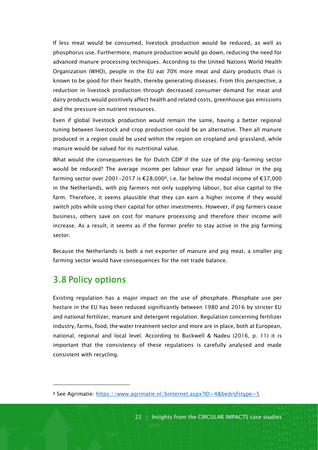If less meat would be consumed, livestock production would be reduced, as well as phosphorus use. Furthermore, manure production would go down, reducing the need for advanced manure processing techniques. According to the United Nations World Health Organization (WHO), people in the EU eat 70% more meat and dairy products than is known to be good for their health, thereby generating diseases. From this perspective, a reduction in livestock production through decreased consumer demand for meat and dairy products would positively affect health and related costs, greenhouse gas emissions and the pressure on nutrient resources.

Even if global livestock production would remain the same, having a better regional tuning between livestock and crop production could be an alternative. Then all manure produced in a region could be used within the region on cropland and grassland, while manure would be valued for its nutritional value.

What would the consequences be for Dutch GDP if the size of the pig-farming sector would be reduced? The average income per labour year for unpaid labour in the pig farming sector over 2001-2017 is €28,000<sup>8</sup>, i.e. far below the modal income of €37,000 in the Netherlands, with pig farmers not only supplying labour, but also capital to the farm. Therefore, it seems plausible that they can earn a higher income if they would switch jobs while using their capital for other investments. However, if pig farmers cease business, others save on cost for manure processing and therefore their income will increase. As a result, it seems as if the former prefer to stay active in the pig farming sector.

Because the Netherlands is both a net exporter of manure and pig meat, a smaller pig farming sector would have consequences for the net trade balance.

### <span id="page-29-0"></span>3.8 Policy options

l

Existing regulation has a major impact on the use of phosphate. Phosphate use per hectare in the EU has been reduced significantly between 1980 and 2016 by stricter EU and national fertilizer, manure and detergent regulation. Regulation concerning fertilizer industry, farms, food, the water treatment sector and more are in place, both at European, national, regional and local level. According to Buckwell & Nadeu (2016, p. 11) it is important that the consistency of these regulations is carefully analysed and made consistent with recycling.

<sup>8</sup> See Agrimatie:<https://www.agrimatie.nl/binternet.aspx?ID=4&bedrijfstype=5>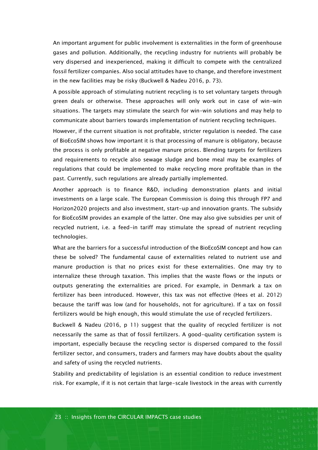An important argument for public involvement is externalities in the form of greenhouse gases and pollution. Additionally, the recycling industry for nutrients will probably be very dispersed and inexperienced, making it difficult to compete with the centralized fossil fertilizer companies. Also social attitudes have to change, and therefore investment in the new facilities may be risky (Buckwell & Nadeu 2016, p. 73).

A possible approach of stimulating nutrient recycling is to set voluntary targets through green deals or otherwise. These approaches will only work out in case of win-win situations. The targets may stimulate the search for win-win solutions and may help to communicate about barriers towards implementation of nutrient recycling techniques.

However, if the current situation is not profitable, stricter regulation is needed. The case of BioEcoSIM shows how important it is that processing of manure is obligatory, because the process is only profitable at negative manure prices. Blending targets for fertilizers and requirements to recycle also sewage sludge and bone meal may be examples of regulations that could be implemented to make recycling more profitable than in the past. Currently, such regulations are already partially implemented.

Another approach is to finance R&D, including demonstration plants and initial investments on a large scale. The European Commission is doing this through FP7 and Horizon2020 projects and also investment, start-up and innovation grants. The subsidy for BioEcoSIM provides an example of the latter. One may also give subsidies per unit of recycled nutrient, i.e. a feed-in tariff may stimulate the spread of nutrient recycling technologies.

What are the barriers for a successful introduction of the BioEcoSIM concept and how can these be solved? The fundamental cause of externalities related to nutrient use and manure production is that no prices exist for these externalities. One may try to internalize these through taxation. This implies that the waste flows or the inputs or outputs generating the externalities are priced. For example, in Denmark a tax on fertilizer has been introduced. However, this tax was not effective (Hees et al. 2012) because the tariff was low (and for households, not for agriculture). If a tax on fossil fertilizers would be high enough, this would stimulate the use of recycled fertilizers.

Buckwell & Nadeu (2016, p 11) suggest that the quality of recycled fertilizer is not necessarily the same as that of fossil fertilizers. A good-quality certification system is important, especially because the recycling sector is dispersed compared to the fossil fertilizer sector, and consumers, traders and farmers may have doubts about the quality and safety of using the recycled nutrients.

Stability and predictability of legislation is an essential condition to reduce investment risk. For example, if it is not certain that large-scale livestock in the areas with currently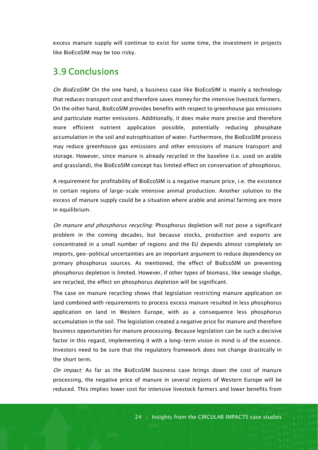excess manure supply will continue to exist for some time, the investment in projects like BioEcoSIM may be too risky.

### <span id="page-31-0"></span>3.9 Conclusions

On BioEcoSIM: On the one hand, a business case like BioEcoSIM is mainly a technology that reduces transport cost and therefore saves money for the intensive livestock farmers. On the other hand, BioEcoSIM provides benefits with respect to greenhouse gas emissions and particulate matter emissions. Additionally, it does make more precise and therefore more efficient nutrient application possible, potentially reducing phosphate accumulation in the soil and eutrophication of water. Furthermore, the BioEcoSIM process may reduce greenhouse gas emissions and other emissions of manure transport and storage. However, since manure is already recycled in the baseline (i.e. used on arable and grassland), the BioEcoSIM concept has limited effect on conservation of phosphorus.

A requirement for profitability of BioEcoSIM is a negative manure price, i.e. the existence in certain regions of large-scale intensive animal production. Another solution to the excess of manure supply could be a situation where arable and animal farming are more in equilibrium.

On manure and phosphorus recycling: Phosphorus depletion will not pose a significant problem in the coming decades, but because stocks, production and exports are concentrated in a small number of regions and the EU depends almost completely on imports, geo-political uncertainties are an important argument to reduce dependency on primary phosphorus sources. As mentioned, the effect of BioEcoSIM on preventing phosphorus depletion is limited. However, if other types of biomass, like sewage sludge, are recycled, the effect on phosphorus depletion will be significant.

The case on manure recycling shows that legislation restricting manure application on land combined with requirements to process excess manure resulted in less phosphorus application on land in Western Europe, with as a consequence less phosphorus accumulation in the soil. The legislation created a negative price for manure and therefore business opportunities for manure processing. Because legislation can be such a decisive factor in this regard, implementing it with a long-term vision in mind is of the essence. Investors need to be sure that the regulatory framework does not change drastically in the short term.

On impact: As far as the BioEcoSIM business case brings down the cost of manure processing, the negative price of manure in several regions of Western Europe will be reduced. This implies lower cost for intensive livestock farmers and lower benefits from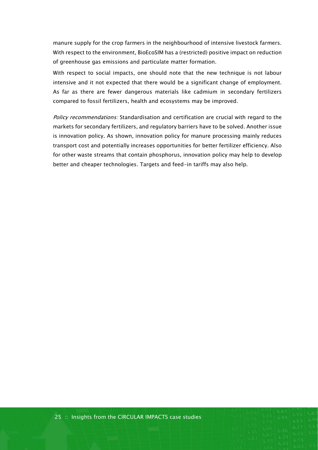manure supply for the crop farmers in the neighbourhood of intensive livestock farmers. With respect to the environment, BioEcoSIM has a (restricted) positive impact on reduction of greenhouse gas emissions and particulate matter formation.

With respect to social impacts, one should note that the new technique is not labour intensive and it not expected that there would be a significant change of employment. As far as there are fewer dangerous materials like cadmium in secondary fertilizers compared to fossil fertilizers, health and ecosystems may be improved.

Policy recommendations: Standardisation and certification are crucial with regard to the markets for secondary fertilizers, and regulatory barriers have to be solved. Another issue is innovation policy. As shown, innovation policy for manure processing mainly reduces transport cost and potentially increases opportunities for better fertilizer efficiency. Also for other waste streams that contain phosphorus, innovation policy may help to develop better and cheaper technologies. Targets and feed-in tariffs may also help.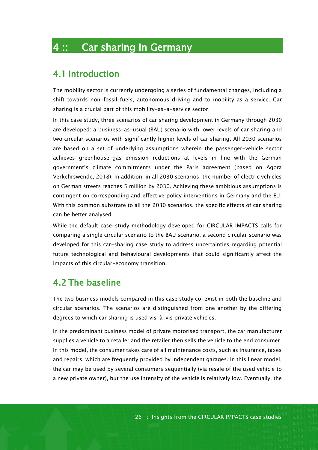## <span id="page-33-0"></span>4 :: Car sharing in Germany

#### <span id="page-33-1"></span>4.1 Introduction

The mobility sector is currently undergoing a series of fundamental changes, including a shift towards non-fossil fuels, autonomous driving and to mobility as a service. Car sharing is a crucial part of this mobility-as-a-service sector.

In this case study, three scenarios of car sharing development in Germany through 2030 are developed: a business-as-usual (BAU) scenario with lower levels of car sharing and two circular scenarios with significantly higher levels of car sharing. All 2030 scenarios are based on a set of underlying assumptions wherein the passenger-vehicle sector achieves greenhouse-gas emission reductions at levels in line with the German government's climate commitments under the Paris agreement (based on Agora Verkehrswende, 2018). In addition, in all 2030 scenarios, the number of electric vehicles on German streets reaches 5 million by 2030. Achieving these ambitious assumptions is contingent on corresponding and effective policy interventions in Germany and the EU. With this common substrate to all the 2030 scenarios, the specific effects of car sharing can be better analysed.

While the default case-study methodology developed for CIRCULAR IMPACTS calls for comparing a single circular scenario to the BAU scenario, a second circular scenario was developed for this car-sharing case study to address uncertainties regarding potential future technological and behavioural developments that could significantly affect the impacts of this circular-economy transition.

### <span id="page-33-2"></span>4.2 The baseline

The two business models compared in this case study co-exist in both the baseline and circular scenarios. The scenarios are distinguished from one another by the differing degrees to which car sharing is used vis-à-vis private vehicles.

In the predominant business model of private motorised transport, the car manufacturer supplies a vehicle to a retailer and the retailer then sells the vehicle to the end consumer. In this model, the consumer takes care of all maintenance costs, such as insurance, taxes and repairs, which are frequently provided by independent garages. In this linear model, the car may be used by several consumers sequentially (via resale of the used vehicle to a new private owner), but the use intensity of the vehicle is relatively low. Eventually, the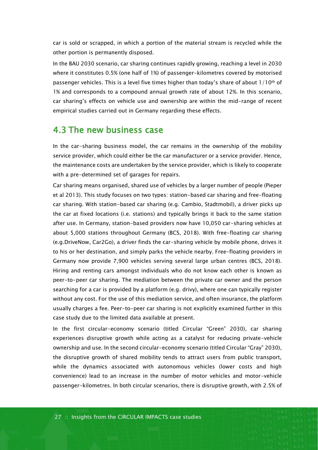car is sold or scrapped, in which a portion of the material stream is recycled while the other portion is permanently disposed.

In the BAU 2030 scenario, car sharing continues rapidly growing, reaching a level in 2030 where it constitutes 0.5% (one half of 1%) of passenger-kilometres covered by motorised passenger vehicles. This is a level five times higher than today's share of about  $1/10<sup>th</sup>$  of 1% and corresponds to a compound annual growth rate of about 12%. In this scenario, car sharing's effects on vehicle use and ownership are within the mid-range of recent empirical studies carried out in Germany regarding these effects.

#### <span id="page-34-0"></span>4.3 The new business case

In the car-sharing business model, the car remains in the ownership of the mobility service provider, which could either be the car manufacturer or a service provider. Hence, the maintenance costs are undertaken by the service provider, which is likely to cooperate with a pre-determined set of garages for repairs.

Car sharing means organised, shared use of vehicles by a larger number of people (Pieper et al 2013). This study focuses on two types: station-based car sharing and free-floating car sharing. With station-based car sharing (e.g. Cambio, Stadtmobil), a driver picks up the car at fixed locations (i.e. stations) and typically brings it back to the same station after use. In Germany, station-based providers now have 10,050 car-sharing vehicles at about 5,000 stations throughout Germany (BCS, 2018). With free-floating car sharing (e.g.DriveNow, Car2Go), a driver finds the car-sharing vehicle by mobile phone, drives it to his or her destination, and simply parks the vehicle nearby. Free-floating providers in Germany now provide 7,900 vehicles serving several large urban centres (BCS, 2018). Hiring and renting cars amongst individuals who do not know each other is known as peer-to-peer car sharing. The mediation between the private car owner and the person searching for a car is provided by a platform (e.g. drivy), where one can typically register without any cost. For the use of this mediation service, and often insurance, the platform usually charges a fee. Peer-to-peer car sharing is not explicitly examined further in this case study due to the limited data available at present.

In the first circular-economy scenario (titled Circular "Green" 2030), car sharing experiences disruptive growth while acting as a catalyst for reducing private-vehicle ownership and use. In the second circular-economy scenario (titled Circular "Gray" 2030), the disruptive growth of shared mobility tends to attract users from public transport, while the dynamics associated with autonomous vehicles (lower costs and high convenience) lead to an increase in the number of motor vehicles and motor-vehicle passenger-kilometres. In both circular scenarios, there is disruptive growth, with 2.5% of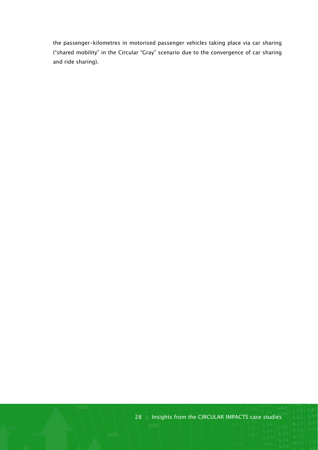the passenger-kilometres in motorised passenger vehicles taking place via car sharing ("shared mobility" in the Circular "Gray" scenario due to the convergence of car sharing and ride sharing).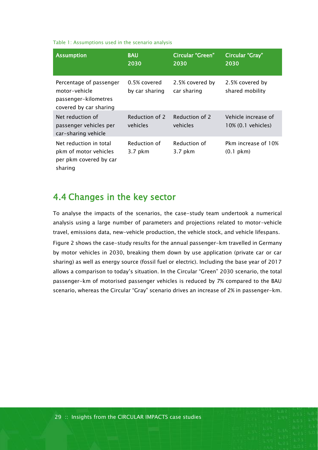#### Table 1: Assumptions used in the scenario analysis

| <b>Assumption</b>                                                                          | <b>BAU</b><br>2030             | Circular "Green"<br>2030       | Circular "Gray"<br>2030                    |
|--------------------------------------------------------------------------------------------|--------------------------------|--------------------------------|--------------------------------------------|
| Percentage of passenger<br>motor-vehicle<br>passenger-kilometres<br>covered by car sharing | 0.5% covered<br>by car sharing | 2.5% covered by<br>car sharing | 2.5% covered by<br>shared mobility         |
| Net reduction of<br>passenger vehicles per<br>car-sharing vehicle                          | Reduction of 2<br>vehicles     | Reduction of 2<br>vehicles     | Vehicle increase of<br>10% (0.1 vehicles)  |
| Net reduction in total<br>pkm of motor vehicles<br>per pkm covered by car<br>sharing       | Reduction of<br>$3.7$ pkm      | Reduction of<br>3.7 pkm        | Pkm increase of 10%<br>$(0.1 \text{ pkm})$ |

#### <span id="page-36-0"></span>4.4 Changes in the key sector

To analyse the impacts of the scenarios, the case-study team undertook a numerical analysis using a large number of parameters and projections related to motor-vehicle travel, emissions data, new-vehicle production, the vehicle stock, and vehicle lifespans.

[Figure 2](#page-37-0) shows the case-study results for the annual passenger-km travelled in Germany by motor vehicles in 2030, breaking them down by use application (private car or car sharing) as well as energy source (fossil fuel or electric). Including the base year of 2017 allows a comparison to today's situation. In the Circular "Green" 2030 scenario, the total passenger-km of motorised passenger vehicles is reduced by 7% compared to the BAU scenario, whereas the Circular "Gray" scenario drives an increase of 2% in passenger-km.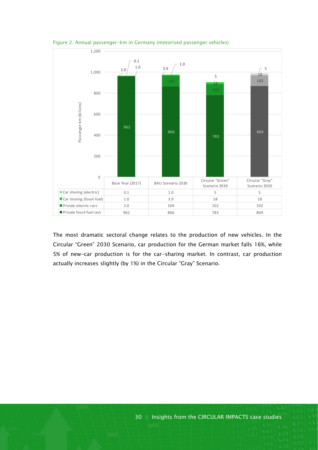

<span id="page-37-0"></span>Figure 2. Annual passenger-km in Germany (motorised passenger vehicles)

The most dramatic sectoral change relates to the production of new vehicles. In the Circular "Green" 2030 Scenario, car production for the German market falls 16%, while 5% of new-car production is for the car-sharing market. In contrast, car production actually increases slightly (by 1%) in the Circular "Gray" Scenario.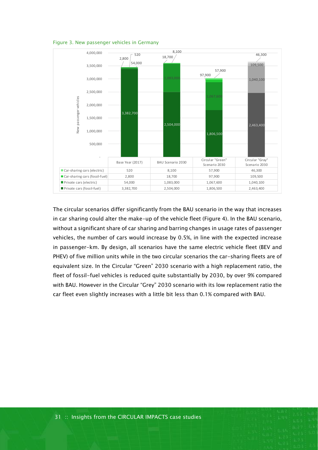

<span id="page-38-0"></span>Figure 3. New passenger vehicles in Germany

The circular scenarios differ significantly from the BAU scenario in the way that increases in car sharing could alter the make-up of the vehicle fleet [\(Figure 4\)](#page-39-1). In the BAU scenario, without a significant share of car sharing and barring changes in usage rates of passenger vehicles, the number of cars would increase by 0.5%, in line with the expected increase in passenger-km. By design, all scenarios have the same electric vehicle fleet (BEV and PHEV) of five million units while in the two circular scenarios the car-sharing fleets are of equivalent size. In the Circular "Green" 2030 scenario with a high replacement ratio, the fleet of fossil-fuel vehicles is reduced quite substantially by 2030, by over 9% compared with BAU. However in the Circular "Grey" 2030 scenario with its low replacement ratio the car fleet even slightly increases with a little bit less than 0.1% compared with BAU.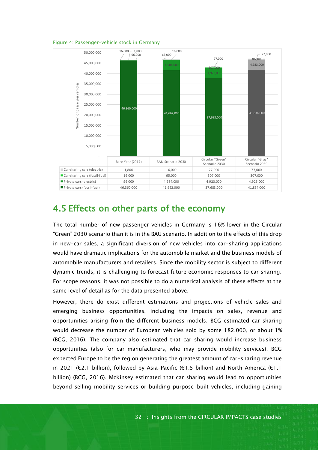

#### <span id="page-39-1"></span>Figure 4: Passenger-vehicle stock in Germany

#### <span id="page-39-0"></span>4.5 Effects on other parts of the economy

The total number of new passenger vehicles in Germany is 16% lower in the Circular "Green" 2030 scenario than it is in the BAU scenario. In addition to the effects of this drop in new-car sales, a significant diversion of new vehicles into car-sharing applications would have dramatic implications for the automobile market and the business models of automobile manufacturers and retailers. Since the mobility sector is subject to different dynamic trends, it is challenging to forecast future economic responses to car sharing. For scope reasons, it was not possible to do a numerical analysis of these effects at the same level of detail as for the data presented above.

However, there do exist different estimations and projections of vehicle sales and emerging business opportunities, including the impacts on sales, revenue and opportunities arising from the different business models. BCG estimated car sharing would decrease the number of European vehicles sold by some 182,000, or about 1% (BCG, 2016). The company also estimated that car sharing would increase business opportunities (also for car manufacturers, who may provide mobility services). BCG expected Europe to be the region generating the greatest amount of car-sharing revenue in 2021 (€2.1 billion), followed by Asia-Pacific (€1.5 billion) and North America (€1.1 billion) (BCG, 2016). McKinsey estimated that car sharing would lead to opportunities beyond selling mobility services or building purpose-built vehicles, including gaining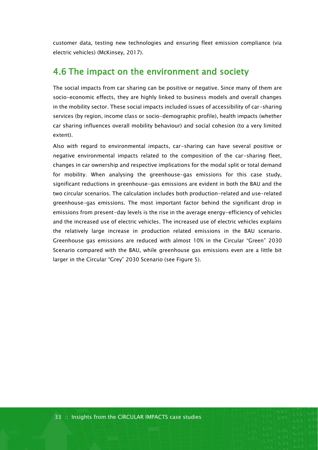customer data, testing new technologies and ensuring fleet emission compliance (via electric vehicles) (McKinsey, 2017).

### <span id="page-40-0"></span>4.6 The impact on the environment and society

The social impacts from car sharing can be positive or negative. Since many of them are socio-economic effects, they are highly linked to business models and overall changes in the mobility sector. These social impacts included issues of accessibility of car-sharing services (by region, income class or socio-demographic profile), health impacts (whether car sharing influences overall mobility behaviour) and social cohesion (to a very limited extent).

Also with regard to environmental impacts, car-sharing can have several positive or negative environmental impacts related to the composition of the car-sharing fleet, changes in car ownership and respective implications for the modal split or total demand for mobility. When analysing the greenhouse-gas emissions for this case study, significant reductions in greenhouse-gas emissions are evident in both the BAU and the two circular scenarios. The calculation includes both production-related and use-related greenhouse-gas emissions. The most important factor behind the significant drop in emissions from present-day levels is the rise in the average energy-efficiency of vehicles and the increased use of electric vehicles. The increased use of electric vehicles explains the relatively large increase in production related emissions in the BAU scenario. Greenhouse gas emissions are reduced with almost 10% in the Circular "Green" 2030 Scenario compared with the BAU, while greenhouse gas emissions even are a little bit larger in the Circular "Grey" 2030 Scenario (see [Figure 5\)](#page-41-0).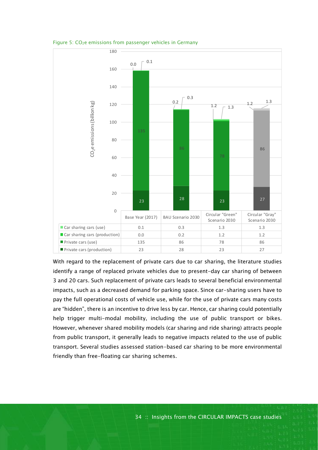

<span id="page-41-0"></span>

With regard to the replacement of private cars due to car sharing, the literature studies identify a range of replaced private vehicles due to present-day car sharing of between 3 and 20 cars. Such replacement of private cars leads to several beneficial environmental impacts, such as a decreased demand for parking space. Since car-sharing users have to pay the full operational costs of vehicle use, while for the use of private cars many costs are "hidden", there is an incentive to drive less by car. Hence, car sharing could potentially help trigger multi-modal mobility, including the use of public transport or bikes. However, whenever shared mobility models (car sharing and ride sharing) attracts people from public transport, it generally leads to negative impacts related to the use of public transport. Several studies assessed station-based car sharing to be more environmental friendly than free-floating car sharing schemes.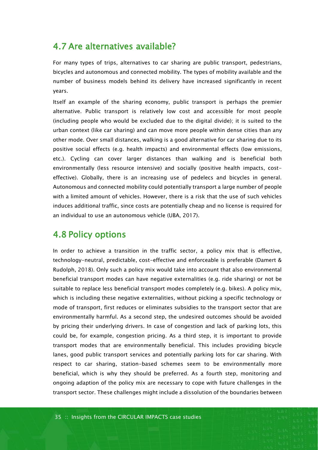#### <span id="page-42-0"></span>4.7 Are alternatives available?

For many types of trips, alternatives to car sharing are public transport, pedestrians, bicycles and autonomous and connected mobility. The types of mobility available and the number of business models behind its delivery have increased significantly in recent years.

Itself an example of the sharing economy, public transport is perhaps the premier alternative. Public transport is relatively low cost and accessible for most people (including people who would be excluded due to the digital divide); it is suited to the urban context (like car sharing) and can move more people within dense cities than any other mode. Over small distances, walking is a good alternative for car sharing due to its positive social effects (e.g. health impacts) and environmental effects (low emissions, etc.). Cycling can cover larger distances than walking and is beneficial both environmentally (less resource intensive) and socially (positive health impacts, costeffective). Globally, there is an increasing use of pedelecs and bicycles in general. Autonomous and connected mobility could potentially transport a large number of people with a limited amount of vehicles. However, there is a risk that the use of such vehicles induces additional traffic, since costs are potentially cheap and no license is required for an individual to use an autonomous vehicle (UBA, 2017).

#### <span id="page-42-1"></span>4.8 Policy options

In order to achieve a transition in the traffic sector, a policy mix that is effective, technology-neutral, predictable, cost-effective and enforceable is preferable (Damert & Rudolph, 2018). Only such a policy mix would take into account that also environmental beneficial transport modes can have negative externalities (e.g. ride sharing) or not be suitable to replace less beneficial transport modes completely (e.g. bikes). A policy mix, which is including these negative externalities, without picking a specific technology or mode of transport, first reduces or eliminates subsidies to the transport sector that are environmentally harmful. As a second step, the undesired outcomes should be avoided by pricing their underlying drivers. In case of congestion and lack of parking lots, this could be, for example, congestion pricing. As a third step, it is important to provide transport modes that are environmentally beneficial. This includes providing bicycle lanes, good public transport services and potentially parking lots for car sharing. With respect to car sharing, station-based schemes seem to be environmentally more beneficial, which is why they should be preferred. As a fourth step, monitoring and ongoing adaption of the policy mix are necessary to cope with future challenges in the transport sector. These challenges might include a dissolution of the boundaries between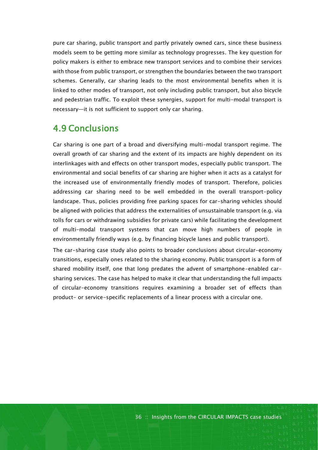pure car sharing, public transport and partly privately owned cars, since these business models seem to be getting more similar as technology progresses. The key question for policy makers is either to embrace new transport services and to combine their services with those from public transport, or strengthen the boundaries between the two transport schemes. Generally, car sharing leads to the most environmental benefits when it is linked to other modes of transport, not only including public transport, but also bicycle and pedestrian traffic. To exploit these synergies, support for multi-modal transport is necessary—it is not sufficient to support only car sharing.

#### <span id="page-43-0"></span>4.9 Conclusions

Car sharing is one part of a broad and diversifying multi-modal transport regime. The overall growth of car sharing and the extent of its impacts are highly dependent on its interlinkages with and effects on other transport modes, especially public transport. The environmental and social benefits of car sharing are higher when it acts as a catalyst for the increased use of environmentally friendly modes of transport. Therefore, policies addressing car sharing need to be well embedded in the overall transport-policy landscape. Thus, policies providing free parking spaces for car-sharing vehicles should be aligned with policies that address the externalities of unsustainable transport (e.g. via tolls for cars or withdrawing subsidies for private cars) while facilitating the development of multi-modal transport systems that can move high numbers of people in environmentally friendly ways (e.g. by financing bicycle lanes and public transport).

The car-sharing case study also points to broader conclusions about circular-economy transitions, especially ones related to the sharing economy. Public transport is a form of shared mobility itself, one that long predates the advent of smartphone-enabled carsharing services. The case has helped to make it clear that understanding the full impacts of circular-economy transitions requires examining a broader set of effects than product- or service-specific replacements of a linear process with a circular one.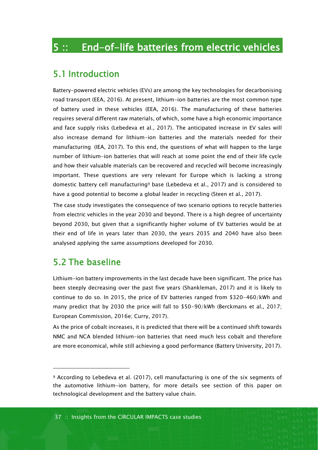### <span id="page-44-1"></span><span id="page-44-0"></span>5.1 Introduction

Battery-powered electric vehicles (EVs) are among the key technologies for decarbonising road transport (EEA, 2016). At present, lithium-ion batteries are the most common type of battery used in these vehicles (EEA, 2016). The manufacturing of these batteries requires several different raw materials, of which, some have a high economic importance and face supply risks (Lebedeva et al., 2017). The anticipated increase in EV sales will also increase demand for lithium-ion batteries and the materials needed for their manufacturing (IEA, 2017). To this end, the questions of what will happen to the large number of lithium-ion batteries that will reach at some point the end of their life cycle and how their valuable materials can be recovered and recycled will become increasingly important. These questions are very relevant for Europe which is lacking a strong domestic battery cell manufacturing<sup>9</sup> base (Lebedeva et al., 2017) and is considered to have a good potential to become a global leader in recycling (Steen et al., 2017).

The case study investigates the consequence of two scenario options to recycle batteries from electric vehicles in the year 2030 and beyond. There is a high degree of uncertainty beyond 2030, but given that a significantly higher volume of EV batteries would be at their end of life in years later than 2030, the years 2035 and 2040 have also been analysed applying the same assumptions developed for 2030.

## <span id="page-44-2"></span>5.2 The baseline

l

Lithium-ion battery improvements in the last decade have been significant. The price has been steeply decreasing over the past five years (Shankleman, 2017) and it is likely to continue to do so. In 2015, the price of EV batteries ranged from \$320-460/kWh and many predict that by 2030 the price will fall to \$50-90/kWh (Berckmans et al., 2017; European Commission, 2016e; Curry, 2017).

As the price of cobalt increases, it is predicted that there will be a continued shift towards NMC and NCA blended lithium-ion batteries that need much less cobalt and therefore are more economical, while still achieving a good performance (Battery University, 2017).

<sup>9</sup> According to Lebedeva et al. (2017), cell manufacturing is one of the six segments of the automotive lithium-ion battery, for more details see section of this paper on technological development and the battery value chain.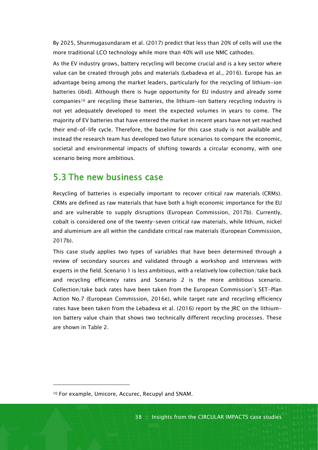By 2025, Shunmugasundaram et al. (2017) predict that less than 20% of cells will use the more traditional LCO technology while more than 40% will use NMC cathodes.

As the EV industry grows, battery recycling will become crucial and is a key sector where value can be created through jobs and materials (Lebadeva et al., 2016). Europe has an advantage being among the market leaders, particularly for the recycling of lithium-ion batteries (ibid). Although there is huge opportunity for EU industry and already some companies<sup>10</sup> are recycling these batteries, the lithium-ion battery recycling industry is not yet adequately developed to meet the expected volumes in years to come. The majority of EV batteries that have entered the market in recent years have not yet reached their end-of-life cycle. Therefore, the baseline for this case study is not available and instead the research team has developed two future scenarios to compare the economic, societal and environmental impacts of shifting towards a circular economy, with one scenario being more ambitious.

#### <span id="page-45-0"></span>5.3 The new business case

Recycling of batteries is especially important to recover critical raw materials (CRMs). CRMs are defined as raw materials that have both a high economic importance for the EU and are vulnerable to supply disruptions (European Commission, 2017b). Currently, cobalt is considered one of the twenty-seven critical raw materials, while lithium, nickel and aluminium are all within the candidate critical raw materials (European Commission, 2017b).

This case study applies two types of variables that have been determined through a review of secondary sources and validated through a workshop and interviews with experts in the field. Scenario 1 is less ambitious, with a relatively low collection/take back and recycling efficiency rates and Scenario 2 is the more ambitious scenario. Collection/take back rates have been taken from the European Commission's SET-Plan Action No.7 (European Commission, 2016e), while target rate and recycling efficiency rates have been taken from the Lebadeva et al. (2016) report by the JRC on the lithiumion battery value chain that shows two technically different recycling processes. These are shown in [Table 2.](#page-46-1)

<sup>10</sup> For example, Umicore, Accurec, Recupyl and SNAM.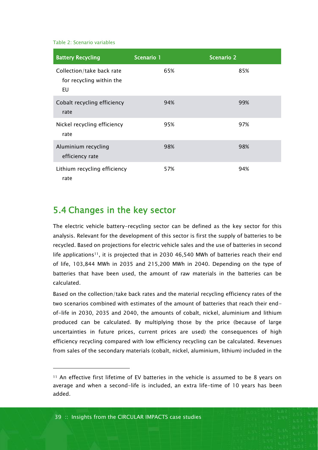<span id="page-46-1"></span>Table 2: Scenario variables

| <b>Battery Recycling</b>                                    | Scenario 1 | <b>Scenario 2</b> |
|-------------------------------------------------------------|------------|-------------------|
| Collection/take back rate<br>for recycling within the<br>EU | 65%        | 85%               |
| Cobalt recycling efficiency<br>rate                         | 94%        | 99%               |
| Nickel recycling efficiency<br>rate                         | 95%        | 97%               |
| Aluminium recycling<br>efficiency rate                      | 98%        | 98%               |
| Lithium recycling efficiency<br>rate                        | 57%        | 94%               |

#### <span id="page-46-0"></span>5.4 Changes in the key sector

The electric vehicle battery-recycling sector can be defined as the key sector for this analysis. Relevant for the development of this sector is first the supply of batteries to be recycled. Based on projections for electric vehicle sales and the use of batteries in second life applications<sup>11</sup>, it is projected that in 2030 46,540 MWh of batteries reach their end of life, 103,844 MWh in 2035 and 215,200 MWh in 2040. Depending on the type of batteries that have been used, the amount of raw materials in the batteries can be calculated.

Based on the collection/take back rates and the material recycling efficiency rates of the two scenarios combined with estimates of the amount of batteries that reach their endof-life in 2030, 2035 and 2040, the amounts of cobalt, nickel, aluminium and lithium produced can be calculated. By multiplying those by the price (because of large uncertainties in future prices, current prices are used) the consequences of high efficiency recycling compared with low efficiency recycling can be calculated. Revenues from sales of the secondary materials (cobalt, nickel, aluminium, lithium) included in the

<sup>&</sup>lt;sup>11</sup> An effective first lifetime of EV batteries in the vehicle is assumed to be 8 years on average and when a second-life is included, an extra life-time of 10 years has been added.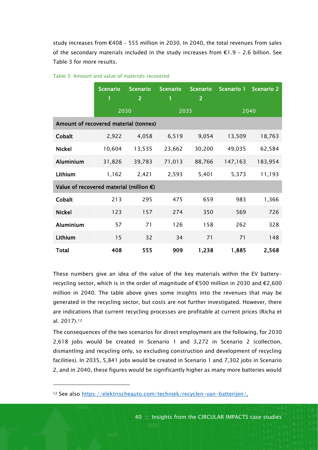study increases from €408 – 555 million in 2030. In 2040, the total revenues from sales of the secondary materials included in the study increases from  $E1.9$  - 2.6 billion. See [Table 3](#page-47-0) for more results.

|                                                   | <b>Scenario</b><br>1 | <b>Scenario</b><br>$\overline{2}$ | <b>Scenario</b><br>1 | <b>Scenario</b><br>$\overline{2}$ | Scenario 1 | Scenario 2 |
|---------------------------------------------------|----------------------|-----------------------------------|----------------------|-----------------------------------|------------|------------|
|                                                   | 2030                 |                                   |                      | 2035                              |            | 2040       |
| Amount of recovered material (tonnes)             |                      |                                   |                      |                                   |            |            |
| Cobalt                                            | 2,922                | 4,058                             | 6,519                | 9,054                             | 13,509     | 18,763     |
| <b>Nickel</b>                                     | 10,604               | 13,535                            | 23,662               | 30,200                            | 49,035     | 62,584     |
| Aluminium                                         | 31,826               | 39,783                            | 71,013               | 88,766                            | 147,163    | 183,954    |
| Lithium                                           | 1,162                | 2,421                             | 2,593                | 5,401                             | 5,373      | 11,193     |
| Value of recovered material (million $\epsilon$ ) |                      |                                   |                      |                                   |            |            |
| Cobalt                                            | 213                  | 295                               | 475                  | 659                               | 983        | 1,366      |
| <b>Nickel</b>                                     | 123                  | 157                               | 274                  | 350                               | 569        | 726        |
| Aluminium                                         | 57                   | 71                                | 126                  | 158                               | 262        | 328        |
| Lithium                                           | 15                   | 32                                | 34                   | 71                                | 71         | 148        |
| <b>Total</b>                                      | 408                  | 555                               | 909                  | 1,238                             | 1,885      | 2,568      |

#### <span id="page-47-0"></span>Table 3: Amount and value of materials recovered

These numbers give an idea of the value of the key materials within the EV batteryrecycling sector, which is in the order of magnitude of €500 million in 2030 and €2,600 million in 2040. The table above gives some insights into the revenues that may be generated in the recycling sector, but costs are not further investigated. However, there are indications that current recycling processes are profitable at current prices (Richa et al. 2017). 12

The consequences of the two scenarios for direct employment are the following, for 2030 2,618 jobs would be created in Scenario 1 and 3,272 in Scenario 2 (collection, dismantling and recycling only, so excluding construction and development of recycling facilities). In 2035, 5,841 jobs would be created in Scenario 1 and 7,302 jobs in Scenario 2, and in 2040, these figures would be significantly higher as many more batteries would

<sup>12</sup> See also [https://elektrischeauto.com/techniek/recyclen-van-batterijen/.](https://elektrischeauto.com/techniek/recyclen-van-batterijen/)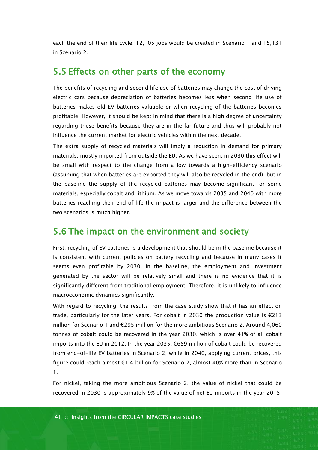each the end of their life cycle: 12,105 jobs would be created in Scenario 1 and 15,131 in Scenario 2.

#### <span id="page-48-0"></span>5.5 Effects on other parts of the economy

The benefits of recycling and second life use of batteries may change the cost of driving electric cars because depreciation of batteries becomes less when second life use of batteries makes old EV batteries valuable or when recycling of the batteries becomes profitable. However, it should be kept in mind that there is a high degree of uncertainty regarding these benefits because they are in the far future and thus will probably not influence the current market for electric vehicles within the next decade.

The extra supply of recycled materials will imply a reduction in demand for primary materials, mostly imported from outside the EU. As we have seen, in 2030 this effect will be small with respect to the change from a low towards a high-efficiency scenario (assuming that when batteries are exported they will also be recycled in the end), but in the baseline the supply of the recycled batteries may become significant for some materials, especially cobalt and lithium. As we move towards 2035 and 2040 with more batteries reaching their end of life the impact is larger and the difference between the two scenarios is much higher.

#### <span id="page-48-1"></span>5.6 The impact on the environment and society

First, recycling of EV batteries is a development that should be in the baseline because it is consistent with current policies on battery recycling and because in many cases it seems even profitable by 2030. In the baseline, the employment and investment generated by the sector will be relatively small and there is no evidence that it is significantly different from traditional employment. Therefore, it is unlikely to influence macroeconomic dynamics significantly.

With regard to recycling, the results from the case study show that it has an effect on trade, particularly for the later years. For cobalt in 2030 the production value is  $\epsilon$ 213 million for Scenario 1 and €295 million for the more ambitious Scenario 2. Around 4,060 tonnes of cobalt could be recovered in the year 2030, which is over 41% of all cobalt imports into the EU in 2012. In the year 2035, €659 million of cobalt could be recovered from end-of-life EV batteries in Scenario 2; while in 2040, applying current prices, this figure could reach almost €1.4 billion for Scenario 2, almost 40% more than in Scenario 1.

For nickel, taking the more ambitious Scenario 2, the value of nickel that could be recovered in 2030 is approximately 9% of the value of net EU imports in the year 2015,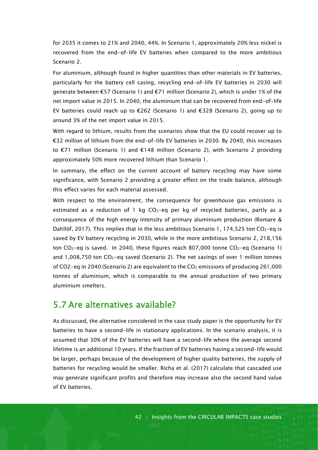for 2035 it comes to 21% and 2040, 44%. In Scenario 1, approximately 20% less nickel is recovered from the end-of-life EV batteries when compared to the more ambitious Scenario 2.

For aluminium, although found in higher quantities than other materials in EV batteries, particularly for the battery cell casing, recycling end-of-life EV batteries in 2030 will generate between €57 (Scenario 1) and €71 million (Scenario 2), which is under 1% of the net import value in 2015. In 2040, the aluminium that can be recovered from end-of-life EV batteries could reach up to €262 (Scenario 1) and €328 (Scenario 2), going up to around 3% of the net import value in 2015.

With regard to lithium, results from the scenarios show that the EU could recover up to €32 million of lithium from the end-of-life EV batteries in 2030. By 2040, this increases to €71 million (Scenario 1) and €148 million (Scenario 2), with Scenario 2 providing approximately 50% more recovered lithium than Scenario 1.

In summary, the effect on the current account of battery recycling may have some significance, with Scenario 2 providing a greater effect on the trade balance, although this effect varies for each material assessed.

With respect to the environment, the consequence for greenhouse gas emissions is estimated as a reduction of 1 kg  $CO<sub>2</sub>$ -eq per kg of recycled batteries, partly as a consequence of the high energy intensity of primary aluminium production (Romare & Dahllöf, 2017). This implies that in the less ambitious Scenario 1, 174,525 ton CO<sub>2</sub>-eq is saved by EV battery recycling in 2030, while in the more ambitious Scenario 2, 218,156 ton  $CO_2$ -eq is saved. In 2040, these figures reach 807,000 tonne  $CO_2$ -eq (Scenario 1) and  $1,008,750$  ton CO<sub>2</sub>-eq saved (Scenario 2). The net savings of over 1 million tonnes of CO2-eq in 2040 (Scenario 2) are equivalent to the CO<sup>2</sup> emissions of producing 261,000 tonnes of aluminium, which is comparable to the annual production of two primary aluminium smelters.

#### <span id="page-49-0"></span>5.7 Are alternatives available?

As discussed, the alternative considered in the case study paper is the opportunity for EV batteries to have a second-life in stationary applications. In the scenario analysis, it is assumed that 30% of the EV batteries will have a second-life where the average second lifetime is an additional 10 years. If the fraction of EV batteries having a second-life would be larger, perhaps because of the development of higher quality batteries, the supply of batteries for recycling would be smaller. Richa et al. (2017) calculate that cascaded use may generate significant profits and therefore may increase also the second hand value of EV batteries.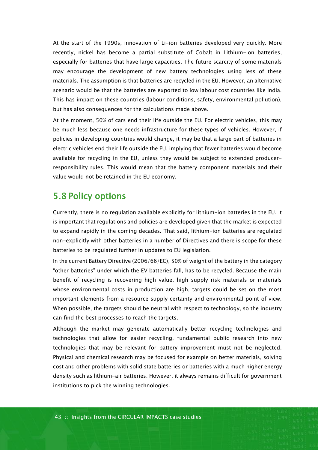At the start of the 1990s, innovation of Li-ion batteries developed very quickly. More recently, nickel has become a partial substitute of Cobalt in Lithium-ion batteries, especially for batteries that have large capacities. The future scarcity of some materials may encourage the development of new battery technologies using less of these materials. The assumption is that batteries are recycled in the EU. However, an alternative scenario would be that the batteries are exported to low labour cost countries like India. This has impact on these countries (labour conditions, safety, environmental pollution), but has also consequences for the calculations made above.

At the moment, 50% of cars end their life outside the EU. For electric vehicles, this may be much less because one needs infrastructure for these types of vehicles. However, if policies in developing countries would change, it may be that a large part of batteries in electric vehicles end their life outside the EU, implying that fewer batteries would become available for recycling in the EU, unless they would be subject to extended producerresponsibility rules. This would mean that the battery component materials and their value would not be retained in the EU economy.

#### <span id="page-50-0"></span>5.8 Policy options

Currently, there is no regulation available explicitly for lithium-ion batteries in the EU. It is important that regulations and policies are developed given that the market is expected to expand rapidly in the coming decades. That said, lithium-ion batteries are regulated non-explicitly with other batteries in a number of Directives and there is scope for these batteries to be regulated further in updates to EU legislation.

In the current Battery Directive (2006/66/EC), 50% of weight of the battery in the category "other batteries" under which the EV batteries fall, has to be recycled. Because the main benefit of recycling is recovering high value, high supply risk materials or materials whose environmental costs in production are high, targets could be set on the most important elements from a resource supply certainty and environmental point of view. When possible, the targets should be neutral with respect to technology, so the industry can find the best processes to reach the targets.

Although the market may generate automatically better recycling technologies and technologies that allow for easier recycling, fundamental public research into new technologies that may be relevant for battery improvement must not be neglected. Physical and chemical research may be focused for example on better materials, solving cost and other problems with solid state batteries or batteries with a much higher energy density such as lithium-air batteries. However, it always remains difficult for government institutions to pick the winning technologies.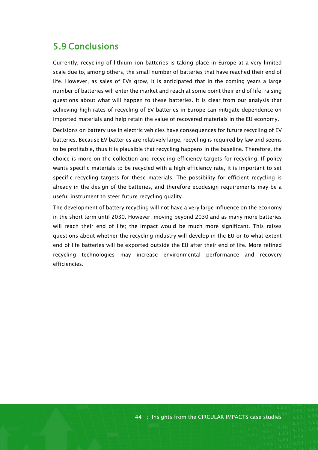#### <span id="page-51-0"></span>5.9 Conclusions

Currently, recycling of lithium-ion batteries is taking place in Europe at a very limited scale due to, among others, the small number of batteries that have reached their end of life. However, as sales of EVs grow, it is anticipated that in the coming years a large number of batteries will enter the market and reach at some point their end of life, raising questions about what will happen to these batteries. It is clear from our analysis that achieving high rates of recycling of EV batteries in Europe can mitigate dependence on imported materials and help retain the value of recovered materials in the EU economy.

Decisions on battery use in electric vehicles have consequences for future recycling of EV batteries. Because EV batteries are relatively large, recycling is required by law and seems to be profitable, thus it is plausible that recycling happens in the baseline. Therefore, the choice is more on the collection and recycling efficiency targets for recycling. If policy wants specific materials to be recycled with a high efficiency rate, it is important to set specific recycling targets for these materials. The possibility for efficient recycling is already in the design of the batteries, and therefore ecodesign requirements may be a useful instrument to steer future recycling quality.

The development of battery recycling will not have a very large influence on the economy in the short term until 2030. However, moving beyond 2030 and as many more batteries will reach their end of life; the impact would be much more significant. This raises questions about whether the recycling industry will develop in the EU or to what extent end of life batteries will be exported outside the EU after their end of life. More refined recycling technologies may increase environmental performance and recovery efficiencies.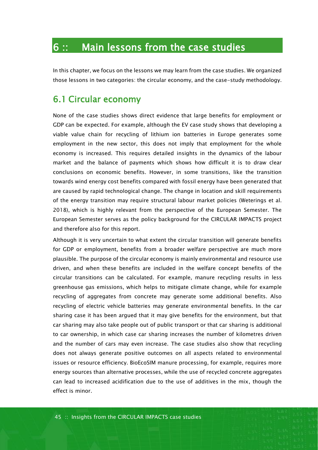## <span id="page-52-0"></span>6 :: Main lessons from the case studies

In this chapter, we focus on the lessons we may learn from the case studies. We organized those lessons in two categories: the circular economy, and the case-study methodology.

### <span id="page-52-1"></span>6.1 Circular economy

None of the case studies shows direct evidence that large benefits for employment or GDP can be expected. For example, although the EV case study shows that developing a viable value chain for recycling of lithium ion batteries in Europe generates some employment in the new sector, this does not imply that employment for the whole economy is increased. This requires detailed insights in the dynamics of the labour market and the balance of payments which shows how difficult it is to draw clear conclusions on economic benefits. However, in some transitions, like the transition towards wind energy cost benefits compared with fossil energy have been generated that are caused by rapid technological change. The change in location and skill requirements of the energy transition may require structural labour market policies (Weterings et al. 2018), which is highly relevant from the perspective of the European Semester. The European Semester serves as the policy background for the CIRCULAR IMPACTS project and therefore also for this report.

Although it is very uncertain to what extent the circular transition will generate benefits for GDP or employment, benefits from a broader welfare perspective are much more plausible. The purpose of the circular economy is mainly environmental and resource use driven, and when these benefits are included in the welfare concept benefits of the circular transitions can be calculated. For example, manure recycling results in less greenhouse gas emissions, which helps to mitigate climate change, while for example recycling of aggregates from concrete may generate some additional benefits. Also recycling of electric vehicle batteries may generate environmental benefits. In the car sharing case it has been argued that it may give benefits for the environment, but that car sharing may also take people out of public transport or that car sharing is additional to car ownership, in which case car sharing increases the number of kilometres driven and the number of cars may even increase. The case studies also show that recycling does not always generate positive outcomes on all aspects related to environmental issues or resource efficiency. BioEcoSIM manure processing, for example, requires more energy sources than alternative processes, while the use of recycled concrete aggregates can lead to increased acidification due to the use of additives in the mix, though the effect is minor.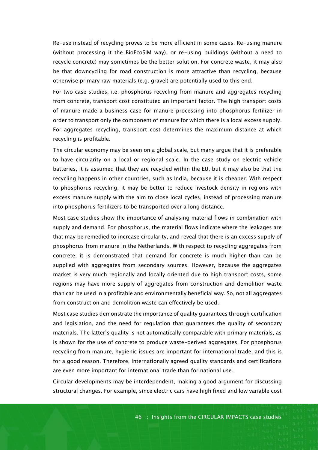Re-use instead of recycling proves to be more efficient in some cases. Re-using manure (without processing it the BioEcoSIM way), or re-using buildings (without a need to recycle concrete) may sometimes be the better solution. For concrete waste, it may also be that downcycling for road construction is more attractive than recycling, because otherwise primary raw materials (e.g. gravel) are potentially used to this end.

For two case studies, i.e. phosphorus recycling from manure and aggregates recycling from concrete, transport cost constituted an important factor. The high transport costs of manure made a business case for manure processing into phosphorus fertilizer in order to transport only the component of manure for which there is a local excess supply. For aggregates recycling, transport cost determines the maximum distance at which recycling is profitable.

The circular economy may be seen on a global scale, but many argue that it is preferable to have circularity on a local or regional scale. In the case study on electric vehicle batteries, it is assumed that they are recycled within the EU, but it may also be that the recycling happens in other countries, such as India, because it is cheaper. With respect to phosphorus recycling, it may be better to reduce livestock density in regions with excess manure supply with the aim to close local cycles, instead of processing manure into phosphorus fertilizers to be transported over a long distance.

Most case studies show the importance of analysing material flows in combination with supply and demand. For phosphorus, the material flows indicate where the leakages are that may be remedied to increase circularity, and reveal that there is an excess supply of phosphorus from manure in the Netherlands. With respect to recycling aggregates from concrete, it is demonstrated that demand for concrete is much higher than can be supplied with aggregates from secondary sources. However, because the aggregates market is very much regionally and locally oriented due to high transport costs, some regions may have more supply of aggregates from construction and demolition waste than can be used in a profitable and environmentally beneficial way. So, not all aggregates from construction and demolition waste can effectively be used.

Most case studies demonstrate the importance of quality guarantees through certification and legislation, and the need for regulation that guarantees the quality of secondary materials. The latter's quality is not automatically comparable with primary materials, as is shown for the use of concrete to produce waste-derived aggregates. For phosphorus recycling from manure, hygienic issues are important for international trade, and this is for a good reason. Therefore, internationally agreed quality standards and certifications are even more important for international trade than for national use.

Circular developments may be interdependent, making a good argument for discussing structural changes. For example, since electric cars have high fixed and low variable cost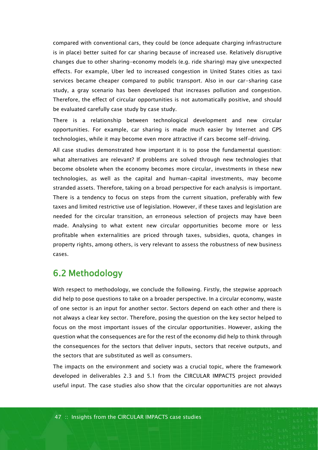compared with conventional cars, they could be (once adequate charging infrastructure is in place) better suited for car sharing because of increased use. Relatively disruptive changes due to other sharing-economy models (e.g. ride sharing) may give unexpected effects. For example, Uber led to increased congestion in United States cities as taxi services became cheaper compared to public transport. Also in our car-sharing case study, a gray scenario has been developed that increases pollution and congestion. Therefore, the effect of circular opportunities is not automatically positive, and should be evaluated carefully case study by case study.

There is a relationship between technological development and new circular opportunities. For example, car sharing is made much easier by Internet and GPS technologies, while it may become even more attractive if cars become self-driving.

All case studies demonstrated how important it is to pose the fundamental question: what alternatives are relevant? If problems are solved through new technologies that become obsolete when the economy becomes more circular, investments in these new technologies, as well as the capital and human-capital investments, may become stranded assets. Therefore, taking on a broad perspective for each analysis is important. There is a tendency to focus on steps from the current situation, preferably with few taxes and limited restrictive use of legislation. However, if these taxes and legislation are needed for the circular transition, an erroneous selection of projects may have been made. Analysing to what extent new circular opportunities become more or less profitable when externalities are priced through taxes, subsidies, quota, changes in property rights, among others, is very relevant to assess the robustness of new business cases.

#### <span id="page-54-0"></span>6.2 Methodology

With respect to methodology, we conclude the following. Firstly, the stepwise approach did help to pose questions to take on a broader perspective. In a circular economy, waste of one sector is an input for another sector. Sectors depend on each other and there is not always a clear key sector. Therefore, posing the question on the key sector helped to focus on the most important issues of the circular opportunities. However, asking the question what the consequences are for the rest of the economy did help to think through the consequences for the sectors that deliver inputs, sectors that receive outputs, and the sectors that are substituted as well as consumers.

The impacts on the environment and society was a crucial topic, where the framework developed in deliverables 2.3 and 5.1 from the CIRCULAR IMPACTS project provided useful input. The case studies also show that the circular opportunities are not always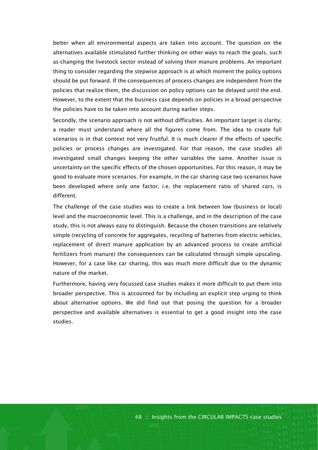better when all environmental aspects are taken into account. The question on the alternatives available stimulated further thinking on other ways to reach the goals, such as changing the livestock sector instead of solving their manure problems. An important thing to consider regarding the stepwise approach is at which moment the policy options should be put forward. If the consequences of process changes are independent from the policies that realize them, the discussion on policy options can be delayed until the end. However, to the extent that the business case depends on policies in a broad perspective the policies have to be taken into account during earlier steps.

Secondly, the scenario approach is not without difficulties. An important target is clarity; a reader must understand where all the figures come from. The idea to create full scenarios is in that context not very fruitful. It is much clearer if the effects of specific policies or process changes are investigated. For that reason, the case studies all investigated small changes keeping the other variables the same. Another issue is uncertainty on the specific effects of the chosen opportunities. For this reason, it may be good to evaluate more scenarios. For example, in the car sharing case two scenarios have been developed where only one factor, i.e. the replacement ratio of shared cars, is different.

The challenge of the case studies was to create a link between low (business or local) level and the macroeconomic level. This is a challenge, and in the description of the case study, this is not always easy to distinguish. Because the chosen transitions are relatively simple (recycling of concrete for aggregates, recycling of batteries from electric vehicles, replacement of direct manure application by an advanced process to create artificial fertilizers from manure) the consequences can be calculated through simple upscaling. However, for a case like car sharing, this was much more difficult due to the dynamic nature of the market.

Furthermore, having very focussed case studies makes it more difficult to put them into broader perspective. This is accounted for by including an explicit step urging to think about alternative options. We did find out that posing the question for a broader perspective and available alternatives is essential to get a good insight into the case studies.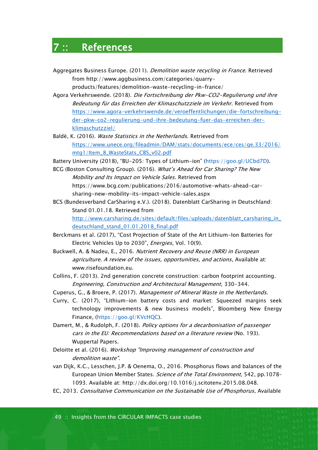## <span id="page-56-0"></span>7 :: References

- Aggregates Business Europe. (2011). *Demolition waste recycling in France*. Retrieved from http://www.aggbusiness.com/categories/quarryproducts/features/demolition-waste-recycling-in-france/
- Agora Verkehrswende. (2018). Die Fortschreibung der Pkw-CO2-Regulierung und ihre Bedeutung für das Erreichen der Klimaschutzziele im Verkehr. Retrieved from [https://www.agora-verkehrswende.de/veroeffentlichungen/die-fortschreibung](https://www.agora-verkehrswende.de/veroeffentlichungen/die-fortschreibung-der-pkw-co2-regulierung-und-ihre-bedeutung-fuer-das-erreichen-der-klimaschutzziel/)[der-pkw-co2-regulierung-und-ihre-bedeutung-fuer-das-erreichen-der](https://www.agora-verkehrswende.de/veroeffentlichungen/die-fortschreibung-der-pkw-co2-regulierung-und-ihre-bedeutung-fuer-das-erreichen-der-klimaschutzziel/)[klimaschutzziel/](https://www.agora-verkehrswende.de/veroeffentlichungen/die-fortschreibung-der-pkw-co2-regulierung-und-ihre-bedeutung-fuer-das-erreichen-der-klimaschutzziel/)
- Baldè, K. (2016). Waste Statistics in the Netherlands. Retrieved from [https://www.unece.org/fileadmin/DAM/stats/documents/ece/ces/ge.33/2016/](https://www.unece.org/fileadmin/DAM/stats/documents/ece/ces/ge.33/2016/mtg1/Item_8_WasteStats_CBS_v02.pdf) [mtg1/Item\\_8\\_WasteStats\\_CBS\\_v02.pdf](https://www.unece.org/fileadmin/DAM/stats/documents/ece/ces/ge.33/2016/mtg1/Item_8_WasteStats_CBS_v02.pdf)
- Battery University (2018), "BU-205: Types of Lithium-ion" (https://goo.gl/UCbd7D).
- BCG (Boston Consulting Group). (2016). What's Ahead for Car Sharing? The New Mobility and Its Impact on Vehicle Sales. Retrieved from https://www.bcg.com/publications/2016/automotive-whats-ahead-carsharing-new-mobility-its-impact-vehicle-sales.aspx
- BCS (Bundesverband CarSharing e.V.). (2018). Datenblatt CarSharing in Deutschland: Stand 01.01.18. Retrieved from [http://www.carsharing.de/sites/default/files/uploads/datenblatt\\_carsharing\\_in\\_](http://www.carsharing.de/sites/default/files/uploads/datenblatt_carsharing_in_deutschland_stand_01.01.2018_final.pdf) [deutschland\\_stand\\_01.01.2018\\_final.pdf](http://www.carsharing.de/sites/default/files/uploads/datenblatt_carsharing_in_deutschland_stand_01.01.2018_final.pdf)
- Berckmans et al. (2017), "Cost Projection of State of the Art Lithium-Ion Batteries for Electric Vehicles Up to 2030", Energies, Vol. 10(9).
- Buckwell, A. & Nadeu, E., 2016. Nutrient Recovery and Reuse (NRR) in European agriculture. A review of the issues, opportunities, and actions, Available at: www.risefoundation.eu.
- Collins, F. (2013). 2nd generation concrete construction: carbon footprint accounting. Engineering, Construction and Architectural Management, 330-344.
- Cuperus, G., & Broere, P. (2017). Management of Mineral Waste in the Netherlands.
- Curry, C. (2017), "Lithium-ion battery costs and market: Squeezed margins seek technology improvements & new business models", Bloomberg New Energy Finance, (https://goo.gl/KVcHQC).
- Damert, M., & Rudolph, F. (2018). Policy options for a decarbonisation of passenger cars in the EU: Recommendations based on a literature review (No. 193). Wuppertal Papers.
- Deloitte et al. (2016). Workshop "Improving management of construction and demolition waste".
- van Dijk, K.C., Lesschen, J.P. & Oenema, O., 2016. Phosphorus flows and balances of the European Union Member States. Science of the Total Environment, 542, pp.1078– 1093. Available at: http://dx.doi.org/10.1016/j.scitotenv.2015.08.048.
- EC, 2013. Consultative Communication on the Sustainable Use of Phosphorus, Available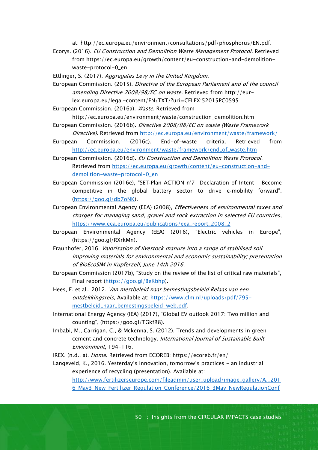at: http://ec.europa.eu/environment/consultations/pdf/phosphorus/EN.pdf.

- Ecorys. (2016). EU Construction and Demolition Waste Management Protocol. Retrieved from https://ec.europa.eu/growth/content/eu-construction-and-demolitionwaste-protocol-0\_en
- Ettlinger, S. (2017). Aggregates Levy in the United Kingdom.
- European Commission. (2015). Directive of the European Parliament and of the council amending Directive 2008/98/EC on waste. Retrieved from http://eurlex.europa.eu/legal-content/EN/TXT/?uri=CELEX:52015PC0595
- European Commission. (2016a). Waste. Retrieved from

http://ec.europa.eu/environment/waste/construction\_demolition.htm

- European Commission. (2016b). Directive 2008/98/EC on waste (Waste Framework Directive). Retrieved from<http://ec.europa.eu/environment/waste/framework/>
- European Commission. (2016c). End-of-waste criteria. Retrieved from [http://ec.europa.eu/environment/waste/framework/end\\_of\\_waste.htm](http://ec.europa.eu/environment/waste/framework/end_of_waste.htm)
- European Commission. (2016d). EU Construction and Demolition Waste Protocol. Retrieved from [https://ec.europa.eu/growth/content/eu-construction-and](https://ec.europa.eu/growth/content/eu-construction-and-demolition-waste-protocol-0_en)[demolition-waste-protocol-0\\_en](https://ec.europa.eu/growth/content/eu-construction-and-demolition-waste-protocol-0_en)
- European Commission (2016e), "SET‐Plan ACTION n°7 –Declaration of Intent Become competitive in the global battery sector to drive e‐mobility forward". [\(https://goo.gl/db7oNK\)](https://goo.gl/db7oNK).
- European Environmental Agency (EEA) (2008), Effectiveness of environmental taxes and charges for managing sand, gravel and rock extraction in selected EU countries, [https://www.eea.europa.eu/publications/eea\\_report\\_2008\\_2](https://www.eea.europa.eu/publications/eea_report_2008_2)
- European Environmental Agency (EEA) (2016), "Electric vehicles in Europe", (https://goo.gl/RXrkMn).
- Fraunhofer, 2016. Valorisation of livestock manure into a range of stabilised soil improving materials for environmental and economic sustainability; presentation of BioEcoSIM in Kupferzell, June 14th 2016.
- European Commission (2017b), "Study on the review of the list of critical raw materials", Final report (https://goo.gl/BeKbhp).
- Hees, E. et al., 2012. Van mestbeleid naar bemestingsbeleid Relaas van een ontdekkingsreis, Available at: [https://www.clm.nl/uploads/pdf/795](https://www.clm.nl/uploads/pdf/795-mestbeleid_naar_bemestingsbeleid-web.pdf) [mestbeleid\\_naar\\_bemestingsbeleid-web.pdf.](https://www.clm.nl/uploads/pdf/795-mestbeleid_naar_bemestingsbeleid-web.pdf)
- International Energy Agency (IEA) (2017), "Global EV outlook 2017: Two million and counting", (https://goo.gl/TGkfR8).
- Imbabi, M., Carrigan, C., & Mckenna, S. (2012). Trends and developments in green cement and concrete technology. International Journal of Sustainable Built Environment, 194-116.
- IREX. (n.d., a). Home. Retrieved from ECOREB: https://ecoreb.fr/en/
- Langeveld, K., 2016. Yesterday's innovation, tomorrow's practices an industrial experience of recycling (presentation). Available at:

[http://www.fertilizerseurope.com/fileadmin/user\\_upload/image\\_gallery/A.\\_201](http://www.fertilizerseurope.com/fileadmin/user_upload/image_gallery/A._2016_May3_New_Fertilizer_Regulation_Conference/2016_3May_NewRegulationConf_KeesLangeveld.pptx) [6\\_May3\\_New\\_Fertilizer\\_Regulation\\_Conference/2016\\_3May\\_NewRegulationConf](http://www.fertilizerseurope.com/fileadmin/user_upload/image_gallery/A._2016_May3_New_Fertilizer_Regulation_Conference/2016_3May_NewRegulationConf_KeesLangeveld.pptx)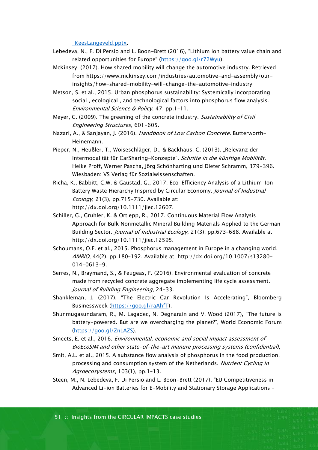[\\_KeesLangeveld.pptx.](http://www.fertilizerseurope.com/fileadmin/user_upload/image_gallery/A._2016_May3_New_Fertilizer_Regulation_Conference/2016_3May_NewRegulationConf_KeesLangeveld.pptx)

- Lebedeva, N., F. Di Persio and L. Boon-Brett (2016), "Lithium ion battery value chain and related opportunities for Europe" (https://goo.gl/r72Wyu).
- McKinsey. (2017). How shared mobility will change the automotive industry. Retrieved from https://www.mckinsey.com/industries/automotive-and-assembly/ourinsights/how-shared-mobility-will-change-the-automotive-industry
- Metson, S. et al., 2015. Urban phosphorus sustainability: Systemically incorporating social , ecological , and technological factors into phosphorus flow analysis. Environmental Science & Policy, 47, pp.1–11.
- Meyer, C. (2009). The greening of the concrete industry. Sustainability of Civil Engineering Structures, 601-605.
- Nazari, A., & Sanjayan, J. (2016). Handbook of Low Carbon Concrete. Butterworth-Heinemann.
- Pieper, N., Heußler, T., Woiseschläger, D., & Backhaus, C. (2013). "Relevanz der Intermodalität für CarSharing-Konzepte". Schritte in die künftige Mobilität. Heike Proff, Werner Pascha, Jörg Schönharting und Dieter Schramm, 379-396. Wiesbaden: VS Verlag für Sozialwissenschaften.
- Richa, K., Babbitt, C.W. & Gaustad, G., 2017. Eco-Efficiency Analysis of a Lithium-Ion Battery Waste Hierarchy Inspired by Circular Economy. Journal of Industrial Ecology, 21(3), pp.715-730. Available at: http://dx.doi.org/10.1111/jiec.12607.
- Schiller, G., Gruhler, K. & Ortlepp, R., 2017. Continuous Material Flow Analysis Approach for Bulk Nonmetallic Mineral Building Materials Applied to the German Building Sector. *Journal of Industrial Ecology*, 21(3), pp.673-688. Available at: http://dx.doi.org/10.1111/jiec.12595.
- Schoumans, O.F. et al., 2015. Phosphorus management in Europe in a changing world. AMBIO, 44(2), pp.180–192. Available at: http://dx.doi.org/10.1007/s13280- 014-0613-9.
- Serres, N., Braymand, S., & Feugeas, F. (2016). Environmental evaluation of concrete made from recycled concrete aggregate implementing life cycle assessment. Journal of Building Engineering, 24-33.
- Shankleman, J. (2017), "The Electric Car Revolution Is Accelerating", Bloomberg Businessweek [\(https://goo.gl/raAhfT\)](https://goo.gl/raAhfT).
- Shunmugasundaram, R., M. Lagadec, N. Degnarain and V. Wood (2017), "The future is battery-powered. But are we overcharging the planet?", World Economic Forum (https://goo.gl/ZnLAZS).
- Smeets, E. et al., 2016. Environmental, economic and social impact assessment of BioEcoSIM and other state-of-the-art manure processing systems (confidential),
- Smit, A.L. et al., 2015. A substance flow analysis of phosphorus in the food production, processing and consumption system of the Netherlands. Nutrient Cycling in Agroecosystems, 103(1), pp.1-13.
- Steen, M., N. Lebedeva, F. Di Persio and L. Boon-Brett (2017), "EU Competitiveness in Advanced Li-ion Batteries for E-Mobility and Stationary Storage Applications –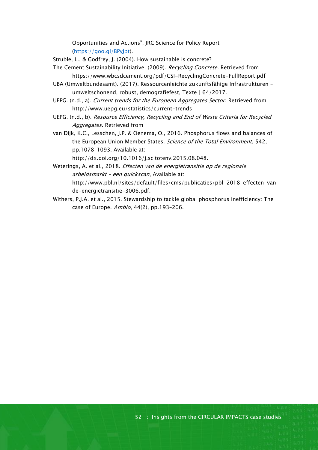Opportunities and Actions", JRC Science for Policy Report (https://goo.gl/BPyJbt).

Struble, L., & Godfrey, J. (2004). How sustainable is concrete?

- The Cement Sustainability Initiative. (2009). Recycling Concrete. Retrieved from https://www.wbcsdcement.org/pdf/CSI-RecyclingConcrete-FullReport.pdf
- UBA (Umweltbundesamt). (2017). Ressourcenleichte zukunftsfähige Infrastrukturen umweltschonend, robust, demografiefest, Texte | 64/2017.
- UEPG. (n.d., a). Current trends for the European Aggregates Sector. Retrieved from http://www.uepg.eu/statistics/current-trends
- UEPG. (n.d., b). Resource Efficiency, Recycling and End of Waste Criteria for Recycled Aggregates. Retrieved from
- van Dijk, K.C., Lesschen, J.P. & Oenema, O., 2016. Phosphorus flows and balances of the European Union Member States. Science of the Total Environment, 542, pp.1078–1093. Available at:

http://dx.doi.org/10.1016/j.scitotenv.2015.08.048.

- Weterings, A. et al., 2018. Effecten van de energietransitie op de regionale arbeidsmarkt – een quickscan, Available at: http://www.pbl.nl/sites/default/files/cms/publicaties/pbl-2018-effecten-vande-energietransitie-3006.pdf.
- Withers, P.J.A. et al., 2015. Stewardship to tackle global phosphorus inefficiency: The case of Europe. Ambio, 44(2), pp.193-206.